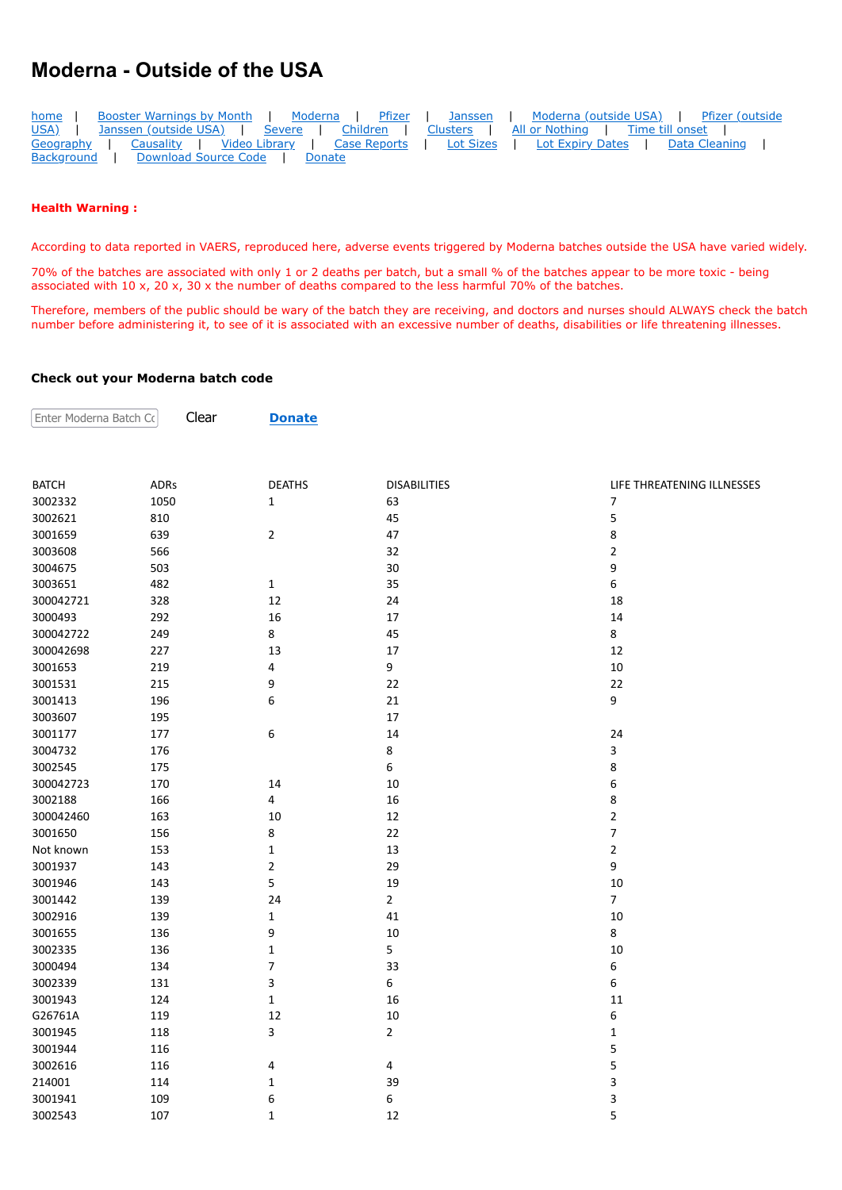## **Moderna - Outside of the USA**

| home              | <b>Booster Warnings by Month</b>                                                               | Moderna   Pfizer   Janssen   Moderna (outside USA)   Pfizer (outside |
|-------------------|------------------------------------------------------------------------------------------------|----------------------------------------------------------------------|
|                   | USA)   Janssen (outside USA)   Severe   Children   Clusters   All or Nothing   Time till onset |                                                                      |
|                   | Geography   Causality   Video Library   Case Reports                                           | Lot Sizes   Lot Expiry Dates   Data Cleaning                         |
| <b>Background</b> | Download Source Code   Donate                                                                  |                                                                      |

## **Health Warning :**

 $|$  Enter Moderna Batch Cc $|$ 

According to data reported in VAERS, reproduced here, adverse events triggered by Moderna batches outside the USA have varied widely.

70% of the batches are associated with only 1 or 2 deaths per batch, but a small % of the batches appear to be more toxic - being associated with 10 x, 20 x, 30 x the number of deaths compared to the less harmful 70% of the batches.

Therefore, members of the public should be wary of the batch they are receiving, and doctors and nurses should ALWAYS check the batch number before administering it, to see of it is associated with an excessive number of deaths, disabilities or life threatening illnesses.

## **Check out your Moderna batch code**

Clear **[Donate](https://howbad.info/donatecreditcard.html)**

| <b>BATCH</b> | <b>ADRs</b> | <b>DEATHS</b>            | <b>DISABILITIES</b> | LIFE THREATENING ILLNESSES |
|--------------|-------------|--------------------------|---------------------|----------------------------|
| 3002332      | 1050        | $\mathbf{1}$             | 63                  | $\overline{7}$             |
| 3002621      | 810         |                          | 45                  | 5                          |
| 3001659      | 639         | $\mathbf 2$              | 47                  | 8                          |
| 3003608      | 566         |                          | 32                  | $\overline{2}$             |
| 3004675      | 503         |                          | 30                  | 9                          |
| 3003651      | 482         | $\mathbf{1}$             | 35                  | 6                          |
| 300042721    | 328         | 12                       | 24                  | 18                         |
| 3000493      | 292         | 16                       | 17                  | 14                         |
| 300042722    | 249         | 8                        | 45                  | 8                          |
| 300042698    | 227         | 13                       | 17                  | 12                         |
| 3001653      | 219         | 4                        | 9                   | 10                         |
| 3001531      | 215         | 9                        | 22                  | 22                         |
| 3001413      | 196         | 6                        | 21                  | 9                          |
| 3003607      | 195         |                          | 17                  |                            |
| 3001177      | 177         | 6                        | 14                  | 24                         |
| 3004732      | 176         |                          | 8                   | 3                          |
| 3002545      | 175         |                          | 6                   | 8                          |
| 300042723    | 170         | 14                       | 10                  | 6                          |
| 3002188      | 166         | 4                        | 16                  | 8                          |
| 300042460    | 163         | 10                       | 12                  | $\overline{2}$             |
| 3001650      | 156         | 8                        | 22                  | $\overline{7}$             |
| Not known    | 153         | $\mathbf 1$              | 13                  | $\overline{2}$             |
| 3001937      | 143         | $\overline{2}$           | 29                  | 9                          |
| 3001946      | 143         | 5                        | 19                  | 10                         |
| 3001442      | 139         | 24                       | $\overline{2}$      | $\overline{7}$             |
| 3002916      | 139         | $\mathbf{1}$             | 41                  | 10                         |
| 3001655      | 136         | 9                        | 10                  | 8                          |
| 3002335      | 136         | $\mathbf 1$              | 5                   | 10                         |
| 3000494      | 134         | $\overline{\mathcal{I}}$ | 33                  | 6                          |
| 3002339      | 131         | 3                        | 6                   | 6                          |
| 3001943      | 124         | $\mathbf 1$              | 16                  | 11                         |
| G26761A      | 119         | 12                       | 10                  | 6                          |
| 3001945      | 118         | 3                        | $\overline{2}$      | $\mathbf{1}$               |
| 3001944      | 116         |                          |                     | 5                          |
| 3002616      | 116         | 4                        | 4                   | 5                          |
| 214001       | 114         | $\mathbf{1}$             | 39                  | 3                          |
| 3001941      | 109         | 6                        | 6                   | 3                          |
| 3002543      | 107         | $\mathbf 1$              | 12                  | 5                          |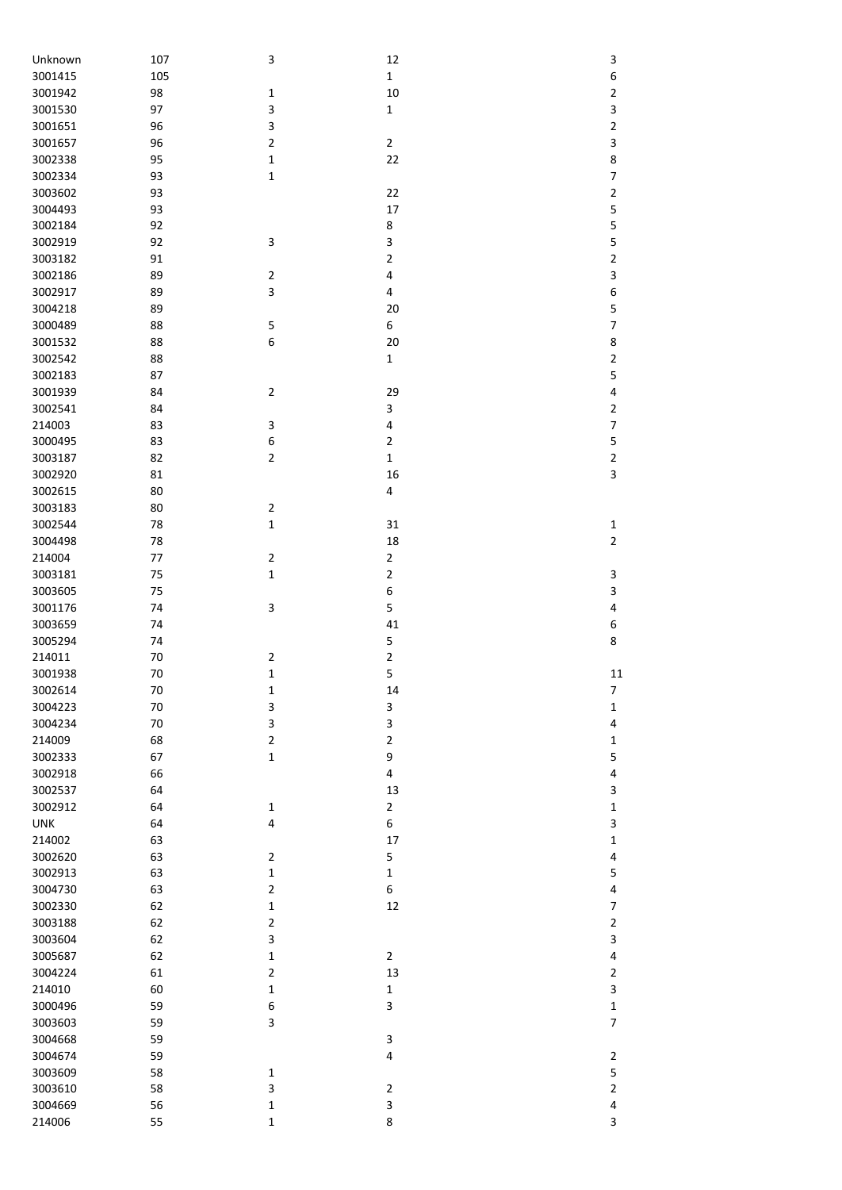| Unknown    | 107     | 3                       | 12             | 3              |
|------------|---------|-------------------------|----------------|----------------|
| 3001415    | 105     |                         | $\mathbf 1$    | 6              |
| 3001942    | 98      | $\mathbf 1$             | $10\,$         | $\overline{2}$ |
| 3001530    | 97      | 3                       | $\mathbf 1$    | 3              |
| 3001651    | 96      | 3                       |                | $\mathbf 2$    |
| 3001657    | 96      | $\overline{c}$          | $\overline{2}$ | 3              |
| 3002338    | 95      | $\mathbf 1$             | 22             | 8              |
| 3002334    | 93      | $\mathbf 1$             |                | 7              |
| 3003602    |         |                         |                |                |
|            | 93      |                         | 22             | $\overline{2}$ |
| 3004493    | 93      |                         | $17\,$         | 5              |
| 3002184    | 92      |                         | 8              | 5              |
| 3002919    | 92      | 3                       | 3              | 5              |
| 3003182    | 91      |                         | $\mathbf 2$    | $\mathbf 2$    |
| 3002186    | 89      | $\overline{\mathbf{c}}$ | $\pmb{4}$      | 3              |
| 3002917    | 89      | 3                       | 4              | 6              |
| 3004218    | 89      |                         | $20\,$         | 5              |
| 3000489    | 88      | 5                       | 6              | 7              |
| 3001532    | 88      | 6                       | $20\,$         | 8              |
| 3002542    | 88      |                         | $\mathbf 1$    | $\overline{2}$ |
| 3002183    | 87      |                         |                | 5              |
| 3001939    | 84      | $\overline{2}$          | 29             | 4              |
| 3002541    | 84      |                         | 3              | $\mathbf 2$    |
|            |         |                         |                |                |
| 214003     | 83      | 3                       | 4              | 7              |
| 3000495    | 83      | 6                       | $\mathbf 2$    | 5              |
| 3003187    | 82      | 2                       | $\mathbf 1$    | $\overline{2}$ |
| 3002920    | 81      |                         | 16             | 3              |
| 3002615    | 80      |                         | 4              |                |
| 3003183    | 80      | $\overline{2}$          |                |                |
| 3002544    | 78      | $\mathbf 1$             | 31             | $\mathbf{1}$   |
| 3004498    | 78      |                         | 18             | $\overline{2}$ |
| 214004     | $77 \,$ | $\mathbf 2$             | $\overline{2}$ |                |
| 3003181    | 75      | $\mathbf 1$             | $\overline{2}$ | 3              |
| 3003605    | 75      |                         | 6              | 3              |
| 3001176    | 74      | 3                       | 5              | 4              |
| 3003659    | 74      |                         | 41             | 6              |
| 3005294    | 74      |                         |                | 8              |
|            |         |                         | 5              |                |
| 214011     | 70      | 2                       | $\mathbf 2$    |                |
| 3001938    | 70      | $\mathbf 1$             | 5              | $11\,$         |
| 3002614    | $70\,$  | 1                       | $14\,$         | 7              |
| 3004223    | $70\,$  | 3                       | 3              | $\mathbf{1}$   |
| 3004234    | 70      | 3                       | 3              | 4              |
| 214009     | 68      | $\mathbf 2$             | $\overline{2}$ | $\mathbf{1}$   |
| 3002333    | 67      | $\mathbf 1$             | 9              | 5              |
| 3002918    | 66      |                         | $\overline{4}$ | 4              |
| 3002537    | 64      |                         | 13             | 3              |
| 3002912    | 64      | $\mathbf{1}$            | $\overline{2}$ | 1              |
| <b>UNK</b> | 64      | 4                       | 6              | 3              |
| 214002     | 63      |                         | 17             | $\mathbf{1}$   |
| 3002620    | 63      | $\overline{2}$          | 5              | 4              |
| 3002913    | 63      | $\mathbf 1$             | $\mathbf 1$    | 5              |
| 3004730    | 63      | $\overline{2}$          | 6              | $\overline{4}$ |
|            |         |                         |                |                |
| 3002330    | 62      | $\mathbf 1$             | 12             | 7              |
| 3003188    | 62      | $\overline{2}$          |                | $\overline{2}$ |
| 3003604    | 62      | 3                       |                | 3              |
| 3005687    | 62      | $\mathbf 1$             | $\overline{2}$ | $\overline{4}$ |
| 3004224    | 61      | 2                       | 13             | $\overline{2}$ |
| 214010     | 60      | $\mathbf 1$             | $\mathbf{1}$   | 3              |
| 3000496    | 59      | 6                       | 3              | $\mathbf{1}$   |
| 3003603    | 59      | 3                       |                | 7              |
| 3004668    | 59      |                         | 3              |                |
| 3004674    | 59      |                         | 4              | $\overline{2}$ |
| 3003609    | 58      | 1                       |                | 5              |
| 3003610    | 58      | 3                       | $\overline{2}$ | $\mathbf{2}$   |
| 3004669    | 56      | 1                       | 3              | 4              |
| 214006     | 55      | $\mathbf 1$             | 8              | 3              |
|            |         |                         |                |                |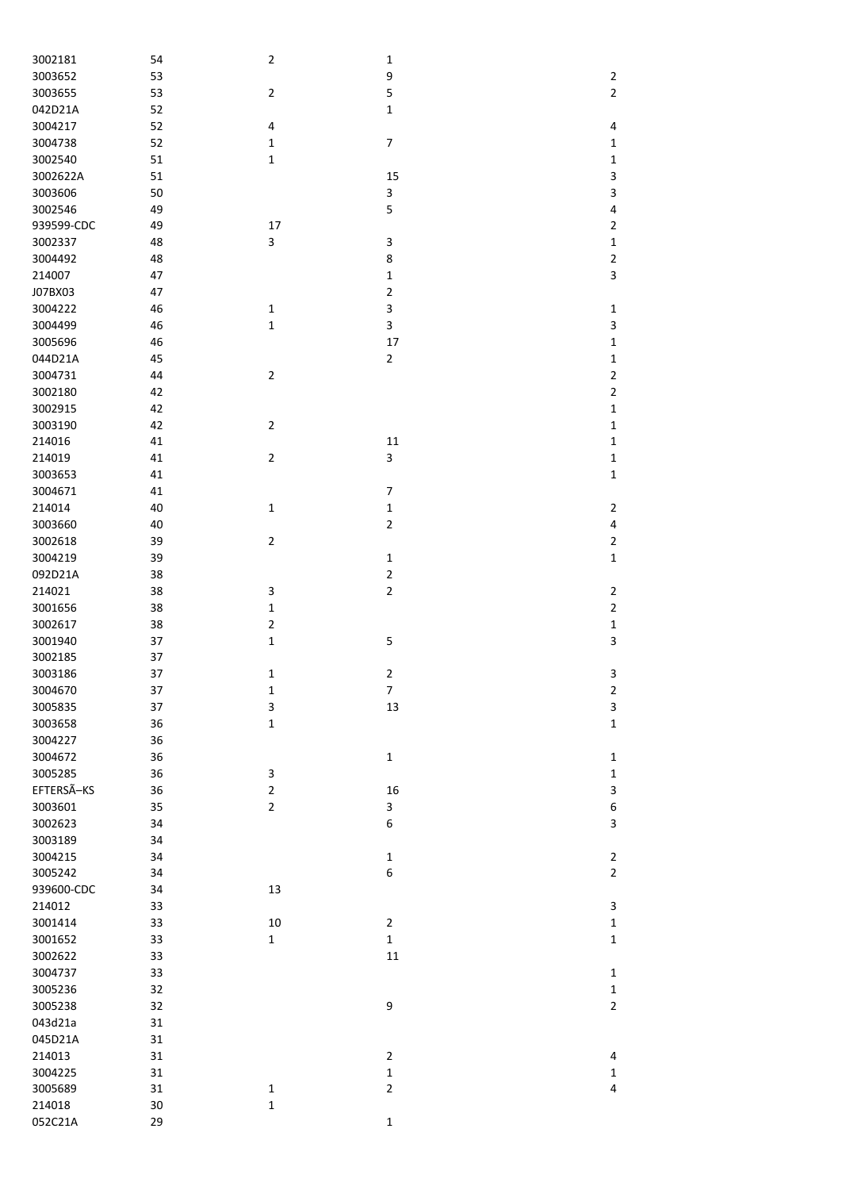| 3002181    | 54 | $\mathbf 2$    | $\mathbf 1$      |                |
|------------|----|----------------|------------------|----------------|
| 3003652    | 53 |                | 9                | $\mathbf 2$    |
| 3003655    | 53 | $\mathbf 2$    | 5                | $\overline{2}$ |
| 042D21A    | 52 |                | $\mathbf 1$      |                |
| 3004217    | 52 | 4              |                  | 4              |
| 3004738    | 52 | $\mathbf{1}$   | $\boldsymbol{7}$ | $\mathbf 1$    |
| 3002540    | 51 | $\mathbf 1$    |                  | 1              |
| 3002622A   | 51 |                | 15               | 3              |
| 3003606    | 50 |                | 3                | 3              |
| 3002546    | 49 |                | 5                |                |
|            |    |                |                  | 4              |
| 939599-CDC | 49 | 17             |                  | $\overline{2}$ |
| 3002337    | 48 | 3              | 3                | 1              |
| 3004492    | 48 |                | 8                | $\overline{2}$ |
| 214007     | 47 |                | $\mathbf 1$      | 3              |
| J07BX03    | 47 |                | $\mathbf 2$      |                |
| 3004222    | 46 | 1              | 3                | $\mathbf 1$    |
| 3004499    | 46 | $\mathbf 1$    | 3                | 3              |
| 3005696    | 46 |                | 17               | $\mathbf 1$    |
| 044D21A    | 45 |                | $\overline{2}$   | 1              |
| 3004731    | 44 | $\overline{2}$ |                  | $\mathbf 2$    |
| 3002180    | 42 |                |                  | $\overline{2}$ |
| 3002915    | 42 |                |                  | $\mathbf 1$    |
| 3003190    | 42 | $\overline{2}$ |                  | $\mathbf 1$    |
| 214016     | 41 |                | 11               | 1              |
|            |    |                |                  |                |
| 214019     | 41 | $\mathbf 2$    | 3                | 1              |
| 3003653    | 41 |                |                  | 1              |
| 3004671    | 41 |                | $\overline{7}$   |                |
| 214014     | 40 | $\mathbf{1}$   | $\mathbf 1$      | $\overline{2}$ |
| 3003660    | 40 |                | $\mathbf 2$      | 4              |
| 3002618    | 39 | $\mathbf 2$    |                  | $\overline{2}$ |
| 3004219    | 39 |                | $\mathbf 1$      | 1              |
| 092D21A    | 38 |                | $\mathbf 2$      |                |
| 214021     | 38 | 3              | $\mathbf 2$      | $\overline{2}$ |
| 3001656    | 38 | $\mathbf 1$    |                  | $\mathbf{2}$   |
| 3002617    | 38 | $\mathbf 2$    |                  | $\mathbf 1$    |
| 3001940    | 37 | $\mathbf 1$    | 5                | 3              |
| 3002185    | 37 |                |                  |                |
| 3003186    | 37 | $\mathbf 1$    | $\overline{2}$   | 3              |
|            |    |                |                  |                |
| 3004670    | 37 | 1              | 7                | 2              |
| 3005835    | 37 | 3              | 13               | 3              |
| 3003658    | 36 | $\mathbf 1$    |                  | $\mathbf 1$    |
| 3004227    | 36 |                |                  |                |
| 3004672    | 36 |                | $\mathbf 1$      | $\mathbf 1$    |
| 3005285    | 36 | 3              |                  | $\mathbf 1$    |
| EFTERSÃ-KS | 36 | $\overline{2}$ | 16               | 3              |
| 3003601    | 35 | $\mathbf 2$    | 3                | 6              |
| 3002623    | 34 |                | $\boldsymbol{6}$ | 3              |
| 3003189    | 34 |                |                  |                |
| 3004215    | 34 |                | $\mathbf 1$      | $\overline{2}$ |
| 3005242    | 34 |                | 6                | $\overline{2}$ |
| 939600-CDC | 34 | 13             |                  |                |
| 214012     | 33 |                |                  | 3              |
| 3001414    | 33 | 10             | $\overline{2}$   | $\mathbf 1$    |
| 3001652    | 33 | $\mathbf 1$    | $\mathbf 1$      | 1              |
| 3002622    | 33 |                | $11\,$           |                |
| 3004737    |    |                |                  |                |
|            | 33 |                |                  | $\mathbf 1$    |
| 3005236    | 32 |                |                  | $\mathbf 1$    |
| 3005238    | 32 |                | 9                | $\overline{2}$ |
| 043d21a    | 31 |                |                  |                |
| 045D21A    | 31 |                |                  |                |
| 214013     | 31 |                | $\overline{2}$   | 4              |
| 3004225    | 31 |                | $\mathbf 1$      | $\mathbf{1}$   |
| 3005689    | 31 | $\mathbf 1$    | $\overline{2}$   | 4              |
| 214018     | 30 | $\mathbf 1$    |                  |                |
| 052C21A    | 29 |                | $\mathbf 1$      |                |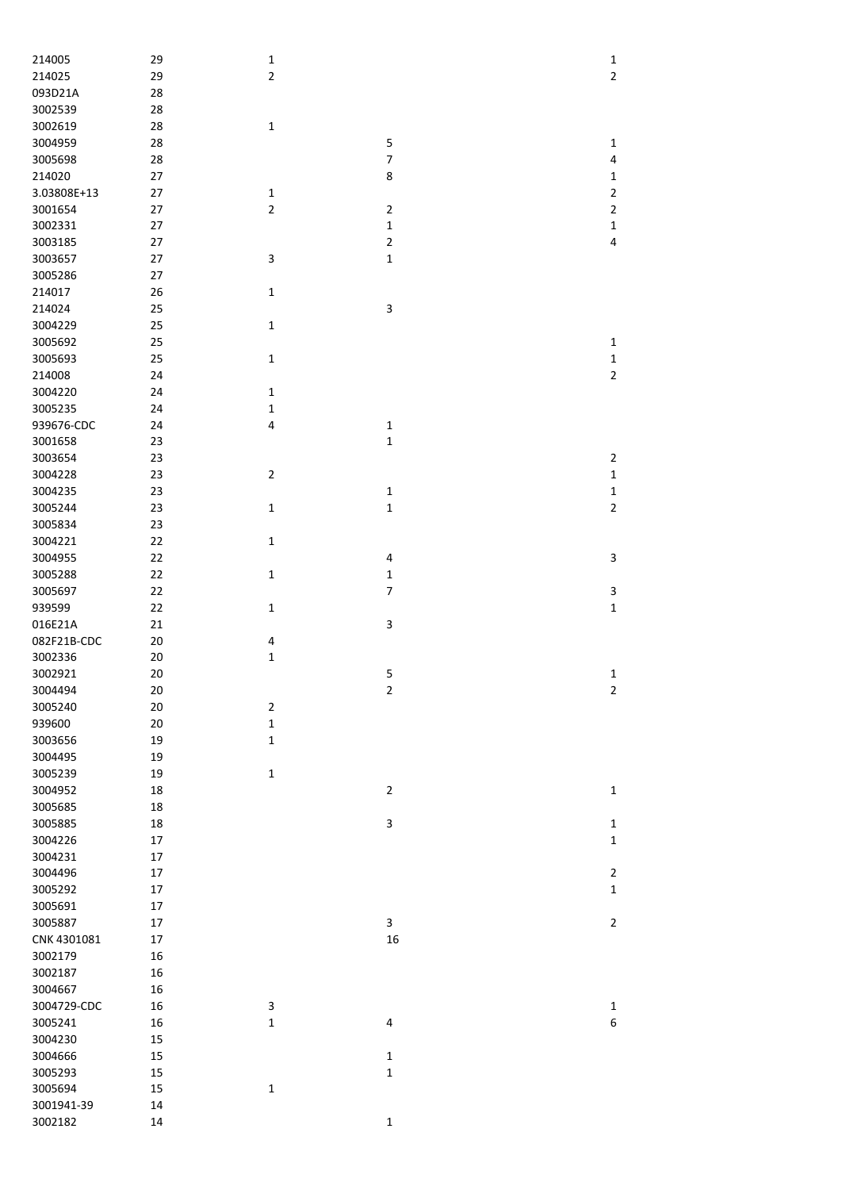| 214005      | 29     | $\mathbf 1$  |                          | $\mathbf 1$    |
|-------------|--------|--------------|--------------------------|----------------|
| 214025      | 29     | $\mathbf 2$  |                          | $\overline{2}$ |
| 093D21A     | 28     |              |                          |                |
| 3002539     | 28     |              |                          |                |
| 3002619     | 28     | $\mathbf 1$  |                          |                |
| 3004959     | 28     |              | 5                        | $\mathbf 1$    |
| 3005698     | 28     |              | $\overline{\mathcal{I}}$ | 4              |
|             |        |              |                          |                |
| 214020      | 27     |              | 8                        | $\mathbf 1$    |
| 3.03808E+13 | 27     | $\mathbf 1$  |                          | $\overline{2}$ |
| 3001654     | 27     | $\mathbf 2$  | $\overline{2}$           | $\overline{2}$ |
| 3002331     | 27     |              | $\mathbf 1$              | $\mathbf{1}$   |
| 3003185     | 27     |              | $\overline{2}$           | 4              |
| 3003657     | 27     | 3            | $\mathbf{1}$             |                |
| 3005286     | 27     |              |                          |                |
| 214017      | 26     | $\mathbf 1$  |                          |                |
| 214024      | 25     |              | 3                        |                |
| 3004229     | 25     | $\mathbf{1}$ |                          |                |
| 3005692     | 25     |              |                          | 1              |
| 3005693     | 25     | $\mathbf{1}$ |                          | $\mathbf{1}$   |
|             |        |              |                          |                |
| 214008      | 24     |              |                          | $\overline{2}$ |
| 3004220     | 24     | $\mathbf 1$  |                          |                |
| 3005235     | 24     | $\mathbf 1$  |                          |                |
| 939676-CDC  | 24     | 4            | $\mathbf 1$              |                |
| 3001658     | 23     |              | $\mathbf 1$              |                |
| 3003654     | 23     |              |                          | $\overline{2}$ |
| 3004228     | 23     | $\mathbf 2$  |                          | $\mathbf 1$    |
| 3004235     | 23     |              | $\mathbf 1$              | $\mathbf 1$    |
| 3005244     | 23     | $\mathbf 1$  | $\mathbf 1$              | $\overline{2}$ |
| 3005834     | 23     |              |                          |                |
| 3004221     | 22     | $\mathbf{1}$ |                          |                |
|             |        |              |                          |                |
| 3004955     | 22     |              | $\overline{\mathbf{4}}$  | 3              |
| 3005288     | 22     | $\mathbf 1$  | $\mathbf 1$              |                |
| 3005697     | 22     |              | $\overline{7}$           | 3              |
| 939599      | 22     | $\mathbf 1$  |                          | $\mathbf 1$    |
| 016E21A     | 21     |              | 3                        |                |
| 082F21B-CDC | 20     | 4            |                          |                |
| 3002336     | 20     | $\mathbf 1$  |                          |                |
| 3002921     | 20     |              | 5                        | $\mathbf 1$    |
| 3004494     | 20     |              | $\overline{2}$           | $\overline{2}$ |
| 3005240     | 20     | $\mathbf 2$  |                          |                |
| 939600      | 20     | $\mathbf 1$  |                          |                |
| 3003656     | 19     | $\mathbf 1$  |                          |                |
| 3004495     | 19     |              |                          |                |
|             |        |              |                          |                |
| 3005239     | 19     | $\mathbf 1$  |                          |                |
| 3004952     | 18     |              | $\overline{2}$           | $\mathbf{1}$   |
| 3005685     | 18     |              |                          |                |
| 3005885     | 18     |              | 3                        | $\mathbf{1}$   |
| 3004226     | 17     |              |                          | $\mathbf 1$    |
| 3004231     | 17     |              |                          |                |
| 3004496     | $17\,$ |              |                          | $\overline{2}$ |
| 3005292     | $17\,$ |              |                          | $\mathbf 1$    |
| 3005691     | $17\,$ |              |                          |                |
| 3005887     | 17     |              | 3                        | $\overline{2}$ |
| CNK 4301081 | 17     |              | 16                       |                |
| 3002179     | 16     |              |                          |                |
| 3002187     |        |              |                          |                |
|             | 16     |              |                          |                |
| 3004667     | 16     |              |                          |                |
| 3004729-CDC | 16     | 3            |                          | $\mathbf{1}$   |
| 3005241     | 16     | $\mathbf 1$  | 4                        | 6              |
| 3004230     | 15     |              |                          |                |
| 3004666     | 15     |              | $\mathbf 1$              |                |
| 3005293     | 15     |              | $\mathbf 1$              |                |
| 3005694     | 15     | $\mathbf 1$  |                          |                |
| 3001941-39  | 14     |              |                          |                |
| 3002182     | 14     |              | $\mathbf{1}$             |                |
|             |        |              |                          |                |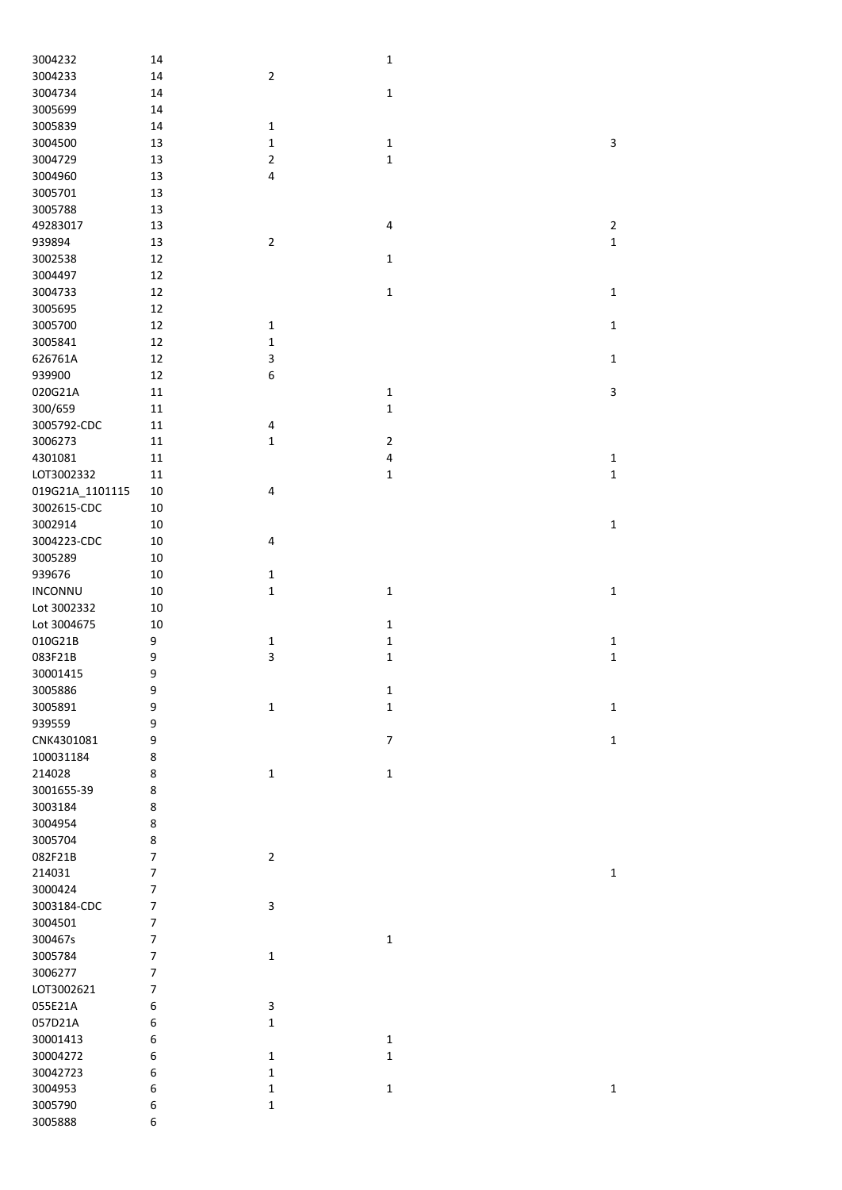| 3004232         | 14             |                         | $\mathbf 1$             |              |
|-----------------|----------------|-------------------------|-------------------------|--------------|
| 3004233         | 14             | $\sqrt{2}$              |                         |              |
| 3004734         | 14             |                         | $\mathbf 1$             |              |
| 3005699         | 14             |                         |                         |              |
| 3005839         | 14             | $\mathbf 1$             |                         |              |
| 3004500         | 13             | $\mathbf 1$             | $\mathbf 1$             | 3            |
|                 |                |                         |                         |              |
| 3004729         | 13             | $\mathbf 2$             | $\mathbf 1$             |              |
| 3004960         | 13             | $\overline{\mathbf{4}}$ |                         |              |
| 3005701         | 13             |                         |                         |              |
| 3005788         | 13             |                         |                         |              |
| 49283017        | 13             |                         | 4                       | $\mathbf 2$  |
| 939894          | 13             | $\overline{2}$          |                         | $\mathbf 1$  |
| 3002538         | 12             |                         | $\mathbf 1$             |              |
| 3004497         | 12             |                         |                         |              |
| 3004733         | 12             |                         | $\mathbf 1$             | $\mathbf 1$  |
| 3005695         | 12             |                         |                         |              |
|                 |                |                         |                         |              |
| 3005700         | 12             | $\mathbf 1$             |                         | $\mathbf 1$  |
| 3005841         | 12             | $\mathbf 1$             |                         |              |
| 626761A         | 12             | 3                       |                         | $\mathbf{1}$ |
| 939900          | 12             | $\boldsymbol{6}$        |                         |              |
| 020G21A         | $11\,$         |                         | $\mathbf 1$             | 3            |
| 300/659         | 11             |                         | $\mathbf 1$             |              |
| 3005792-CDC     | 11             | 4                       |                         |              |
| 3006273         | 11             | $\mathbf 1$             | $\mathbf 2$             |              |
| 4301081         | 11             |                         | $\overline{\mathbf{4}}$ | $\mathbf 1$  |
| LOT3002332      | 11             |                         | $\mathbf 1$             | $\mathbf 1$  |
|                 |                |                         |                         |              |
| 019G21A_1101115 | $10\,$         | 4                       |                         |              |
| 3002615-CDC     | 10             |                         |                         |              |
| 3002914         | 10             |                         |                         | $\mathbf 1$  |
| 3004223-CDC     | $10\,$         | $\overline{4}$          |                         |              |
| 3005289         | 10             |                         |                         |              |
| 939676          | 10             | $\mathbf 1$             |                         |              |
| <b>INCONNU</b>  | $10\,$         | $\mathbf 1$             | $\mathbf 1$             | $\mathbf 1$  |
| Lot 3002332     | 10             |                         |                         |              |
| Lot 3004675     | 10             |                         | $\mathbf 1$             |              |
| 010G21B         | 9              | $\mathbf 1$             | $\mathbf 1$             | $\mathbf 1$  |
|                 |                |                         |                         |              |
| 083F21B         | 9              | 3                       | $\mathbf 1$             | $\mathbf 1$  |
| 30001415        | 9              |                         |                         |              |
| 3005886         | 9              |                         | 1                       |              |
| 3005891         | 9              | $\mathbf 1$             | $\mathbf 1$             | $\mathbf 1$  |
| 939559          | 9              |                         |                         |              |
| CNK4301081      | 9              |                         | $\boldsymbol{7}$        | $\mathbf{1}$ |
| 100031184       | 8              |                         |                         |              |
| 214028          | 8              | $\mathbf 1$             | $\mathbf 1$             |              |
| 3001655-39      | 8              |                         |                         |              |
| 3003184         | 8              |                         |                         |              |
|                 |                |                         |                         |              |
| 3004954         | 8              |                         |                         |              |
| 3005704         | 8              |                         |                         |              |
| 082F21B         | $\overline{7}$ | $\sqrt{2}$              |                         |              |
| 214031          | $\overline{7}$ |                         |                         | $\mathbf{1}$ |
| 3000424         | $\overline{7}$ |                         |                         |              |
| 3003184-CDC     | $\overline{7}$ | 3                       |                         |              |
| 3004501         | $\overline{7}$ |                         |                         |              |
| 300467s         | $\overline{7}$ |                         | $\mathbf 1$             |              |
| 3005784         | $\overline{7}$ | $\mathbf 1$             |                         |              |
| 3006277         | $\overline{7}$ |                         |                         |              |
| LOT3002621      | $\overline{7}$ |                         |                         |              |
|                 |                |                         |                         |              |
| 055E21A         | 6              | 3                       |                         |              |
| 057D21A         | 6              | $\mathbf 1$             |                         |              |
| 30001413        | 6              |                         | $\mathbf 1$             |              |
| 30004272        | 6              | $\mathbf{1}$            | $\mathbf 1$             |              |
| 30042723        | 6              | $\mathbf 1$             |                         |              |
| 3004953         | 6              | $\mathbf 1$             | $\mathbf 1$             | $\mathbf 1$  |
| 3005790         | 6              | $\mathbf 1$             |                         |              |
| 3005888         | 6              |                         |                         |              |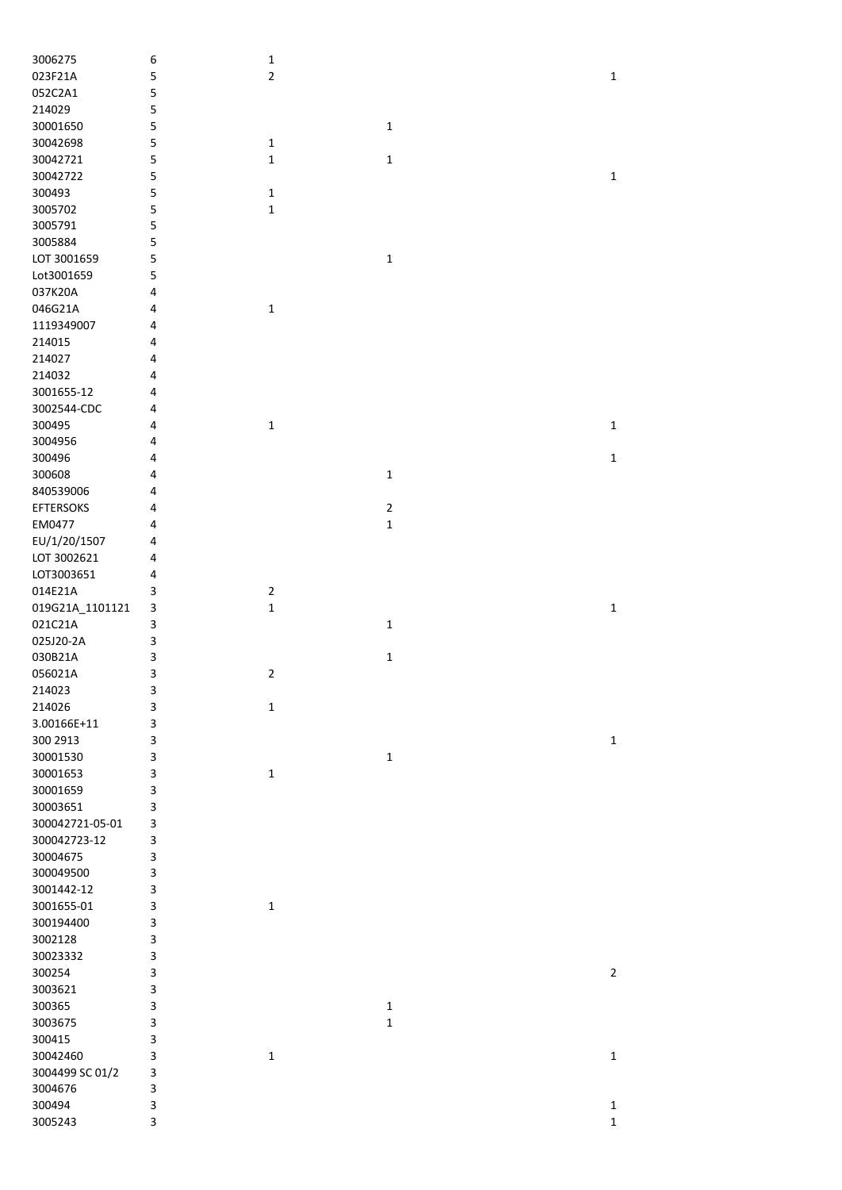| 3006275            | 6            | $\mathbf 1$ |                |              |
|--------------------|--------------|-------------|----------------|--------------|
| 023F21A            | 5            | $\mathbf 2$ |                | $\mathbf 1$  |
| 052C2A1            | 5            |             |                |              |
| 214029             | 5            |             |                |              |
| 30001650           | 5            |             | 1              |              |
| 30042698           | 5            | $\mathbf 1$ |                |              |
| 30042721           | 5            | 1           | $\mathbf 1$    |              |
| 30042722           | 5            |             |                | $\mathbf 1$  |
| 300493             | 5            | $\mathbf 1$ |                |              |
| 3005702            | 5            | $\mathbf 1$ |                |              |
| 3005791            | 5            |             |                |              |
| 3005884            | 5            |             |                |              |
| LOT 3001659        | 5            |             | 1              |              |
| Lot3001659         | 5            |             |                |              |
| 037K20A            | 4            |             |                |              |
| 046G21A            | 4            | $\mathbf 1$ |                |              |
| 1119349007         | 4            |             |                |              |
| 214015             | 4            |             |                |              |
| 214027             |              |             |                |              |
|                    | 4            |             |                |              |
| 214032             | 4            |             |                |              |
| 3001655-12         | 4            |             |                |              |
| 3002544-CDC        | 4            |             |                |              |
| 300495             | 4            | $\mathbf 1$ |                | $\mathbf{1}$ |
| 3004956            | 4            |             |                |              |
| 300496             | 4            |             |                | $\mathbf 1$  |
| 300608             | 4            |             | 1              |              |
| 840539006          | 4            |             |                |              |
| <b>EFTERSOKS</b>   | 4            |             | $\overline{2}$ |              |
| EM0477             | 4            |             | $\mathbf 1$    |              |
| EU/1/20/1507       | 4            |             |                |              |
| LOT 3002621        | 4            |             |                |              |
| LOT3003651         | 4            |             |                |              |
| 014E21A            | 3            | $\sqrt{2}$  |                |              |
| 019G21A_1101121    | 3            | $\mathbf 1$ |                | $\mathbf 1$  |
| 021C21A            | 3            |             | 1              |              |
| 025J20-2A          | 3            |             |                |              |
| 030B21A            | 3            |             | 1              |              |
| 056021A            | 3            | $\mathbf 2$ |                |              |
| 214023             | 3            |             |                |              |
| 214026             | 3            | 1           |                |              |
| 3.00166E+11        | 3            |             |                |              |
| 300 2913           | 3            |             |                | $\mathbf 1$  |
| 30001530           | 3            |             | 1              |              |
| 30001653           | 3            | $\mathbf 1$ |                |              |
| 30001659           | 3            |             |                |              |
| 30003651           | 3            |             |                |              |
| 300042721-05-01    | 3            |             |                |              |
| 300042723-12       | 3            |             |                |              |
| 30004675           | 3            |             |                |              |
| 300049500          | 3            |             |                |              |
| 3001442-12         | 3            |             |                |              |
| 3001655-01         | 3            | $\mathbf 1$ |                |              |
| 300194400          | 3            |             |                |              |
| 3002128            | 3            |             |                |              |
|                    |              |             |                |              |
| 30023332<br>300254 | 3            |             |                |              |
| 3003621            | 3            |             |                | $\mathbf 2$  |
|                    | 3            |             |                |              |
| 300365             | 3            |             | 1              |              |
| 3003675            | 3            |             | $\mathbf 1$    |              |
| 300415             | 3            |             |                |              |
| 30042460           | 3            | $\mathbf 1$ |                | $\mathbf 1$  |
| 3004499 SC 01/2    | 3            |             |                |              |
| 3004676            | $\mathsf{3}$ |             |                |              |
| 300494             | 3            |             |                | $\mathbf{1}$ |
| 3005243            | 3            |             |                | $\mathbf{1}$ |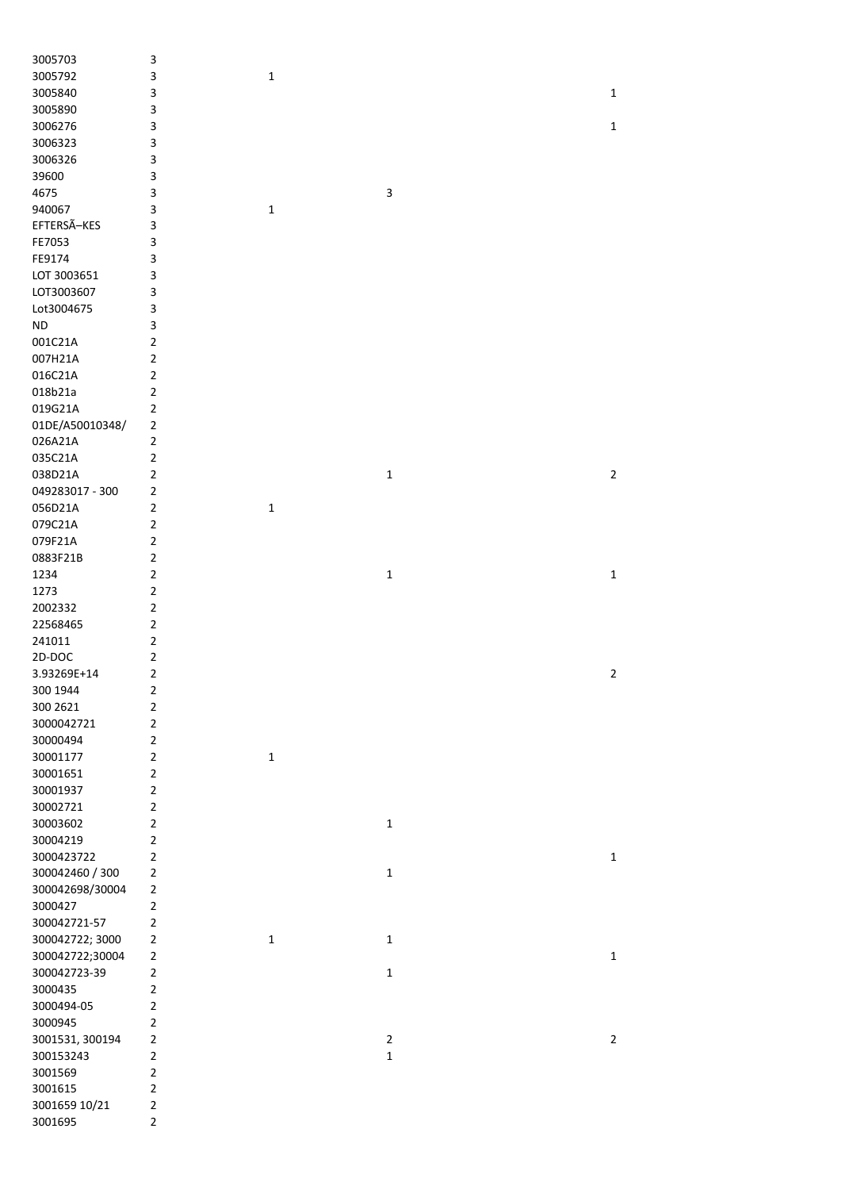| 3005703         | 3                       |              |              |             |
|-----------------|-------------------------|--------------|--------------|-------------|
| 3005792         | 3                       | 1            |              |             |
| 3005840         | 3                       |              |              | $\mathbf 1$ |
| 3005890         | 3                       |              |              |             |
| 3006276         | 3                       |              |              | $\mathbf 1$ |
| 3006323         | 3                       |              |              |             |
| 3006326         | 3                       |              |              |             |
| 39600           | 3                       |              |              |             |
| 4675            | 3                       |              | 3            |             |
|                 |                         |              |              |             |
| 940067          | 3                       | $\mathbf 1$  |              |             |
| EFTERSÃ-KES     | 3                       |              |              |             |
| FE7053          | 3                       |              |              |             |
| FE9174          | 3                       |              |              |             |
| LOT 3003651     | 3                       |              |              |             |
| LOT3003607      | 3                       |              |              |             |
| Lot3004675      | 3                       |              |              |             |
| $\sf ND$        | 3                       |              |              |             |
| 001C21A         | 2                       |              |              |             |
| 007H21A         | 2                       |              |              |             |
| 016C21A         | $\overline{\mathbf{c}}$ |              |              |             |
| 018b21a         | $\mathbf 2$             |              |              |             |
| 019G21A         | $\mathbf 2$             |              |              |             |
| 01DE/A50010348/ | $\mathbf 2$             |              |              |             |
| 026A21A         | 2                       |              |              |             |
| 035C21A         |                         |              |              |             |
|                 | 2                       |              |              |             |
| 038D21A         | 2                       |              | $\mathbf 1$  | $\mathbf 2$ |
| 049283017 - 300 | $\mathbf 2$             |              |              |             |
| 056D21A         | $\overline{2}$          | 1            |              |             |
| 079C21A         | 2                       |              |              |             |
| 079F21A         | 2                       |              |              |             |
| 0883F21B        | $\sqrt{2}$              |              |              |             |
| 1234            | $\overline{\mathbf{c}}$ |              | $\mathbf 1$  | $\mathbf 1$ |
| 1273            | $\overline{\mathbf{c}}$ |              |              |             |
| 2002332         | $\mathbf 2$             |              |              |             |
| 22568465        | $\mathbf 2$             |              |              |             |
| 241011          | $\overline{2}$          |              |              |             |
| 2D-DOC          | $\overline{\mathbf{c}}$ |              |              |             |
| 3.93269E+14     | $\mathbf 2$             |              |              | $\mathbf 2$ |
| 300 1944        | 2                       |              |              |             |
| 300 2621        | $\mathbf 2$             |              |              |             |
| 3000042721      | $\mathbf 2$             |              |              |             |
| 30000494        | $\mathbf 2$             |              |              |             |
| 30001177        | $\mathbf 2$             | $\mathbf{1}$ |              |             |
| 30001651        | $\overline{\mathbf{c}}$ |              |              |             |
| 30001937        | $\mathbf 2$             |              |              |             |
| 30002721        | $\mathbf 2$             |              |              |             |
| 30003602        | $\mathbf 2$             |              | $\mathbf 1$  |             |
| 30004219        | $\mathbf 2$             |              |              |             |
| 3000423722      | $\mathbf 2$             |              |              | $\mathbf 1$ |
| 300042460 / 300 | $\sqrt{2}$              |              | $\mathbf 1$  |             |
|                 |                         |              |              |             |
| 300042698/30004 | $\mathbf 2$             |              |              |             |
| 3000427         | $\mathbf 2$             |              |              |             |
| 300042721-57    | $\mathbf 2$             |              |              |             |
| 300042722; 3000 | $\mathbf 2$             | $\mathbf 1$  | $\mathbf{1}$ |             |
| 300042722;30004 | $\mathbf 2$             |              |              | $\mathbf 1$ |
| 300042723-39    | $\overline{\mathbf{c}}$ |              | $\mathbf 1$  |             |
| 3000435         | $\mathbf 2$             |              |              |             |
| 3000494-05      | $\mathbf 2$             |              |              |             |
| 3000945         | $\mathbf 2$             |              |              |             |
| 3001531, 300194 | $\mathbf 2$             |              | $\mathbf{2}$ | $\mathbf 2$ |
| 300153243       | $\mathbf 2$             |              | $\mathbf 1$  |             |
| 3001569         |                         |              |              |             |
|                 | $\mathbf 2$             |              |              |             |
| 3001615         | $\mathbf 2$             |              |              |             |
| 3001659 10/21   | $\mathbf 2$             |              |              |             |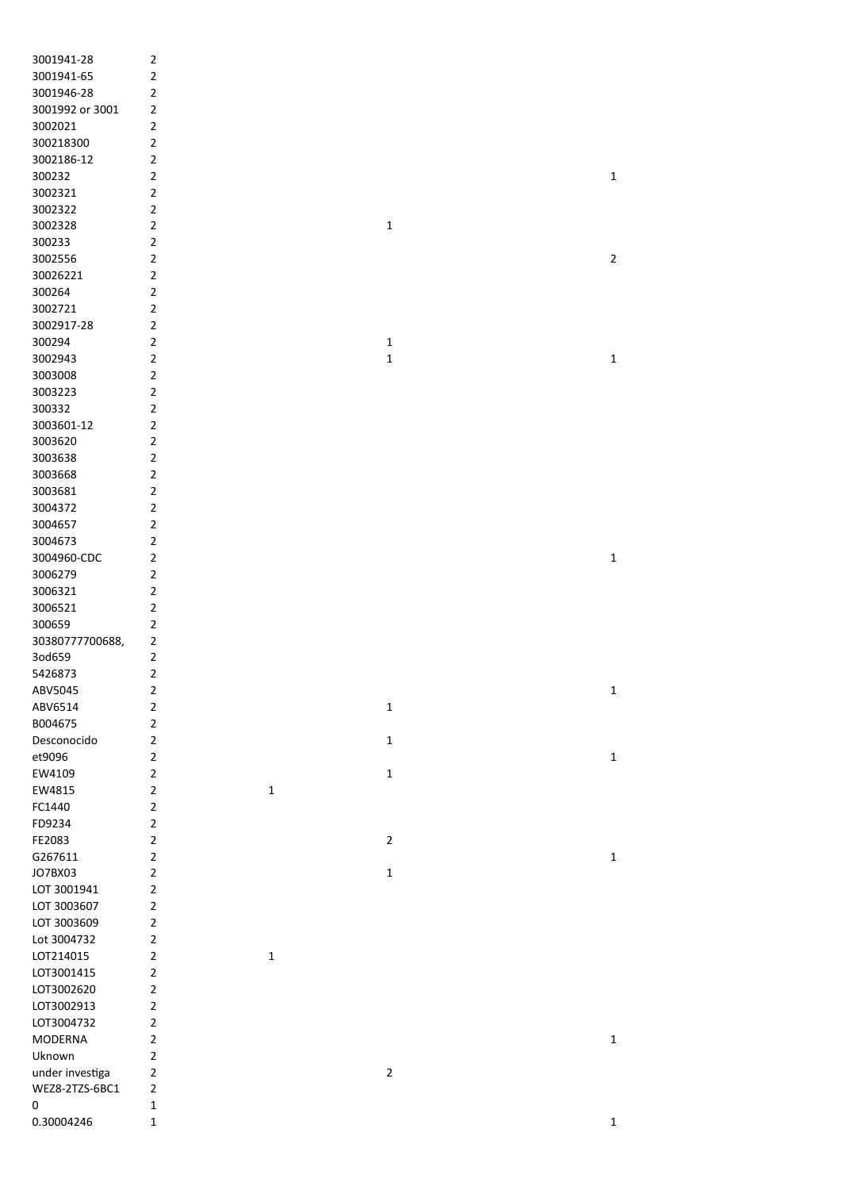| 3001941-28      | 2                          |             |                |              |
|-----------------|----------------------------|-------------|----------------|--------------|
| 3001941-65      | 2                          |             |                |              |
| 3001946-28      | 2                          |             |                |              |
| 3001992 or 3001 | 2                          |             |                |              |
| 3002021         | $\overline{2}$             |             |                |              |
|                 |                            |             |                |              |
| 300218300       | $\overline{\mathbf{c}}$    |             |                |              |
| 3002186-12      | 2                          |             |                |              |
| 300232          | $\overline{\mathbf{c}}$    |             |                | 1            |
| 3002321         | $\mathbf 2$                |             |                |              |
| 3002322         | $\overline{2}$             |             |                |              |
|                 |                            |             |                |              |
| 3002328         | $\overline{\mathbf{c}}$    |             | 1              |              |
| 300233          | $\mathbf 2$                |             |                |              |
| 3002556         | $\mathbf 2$                |             |                | $\mathbf 2$  |
| 30026221        | $\mathbf 2$                |             |                |              |
| 300264          | 2                          |             |                |              |
|                 |                            |             |                |              |
| 3002721         | 2                          |             |                |              |
| 3002917-28      | $\overline{\mathbf{c}}$    |             |                |              |
| 300294          | $\overline{2}$             |             | 1              |              |
| 3002943         | $\overline{2}$             |             | $\mathbf 1$    | 1            |
|                 |                            |             |                |              |
| 3003008         | $\overline{2}$             |             |                |              |
| 3003223         | 2                          |             |                |              |
| 300332          | $\overline{2}$             |             |                |              |
| 3003601-12      | $\overline{2}$             |             |                |              |
| 3003620         | $\overline{2}$             |             |                |              |
| 3003638         | $\overline{2}$             |             |                |              |
|                 |                            |             |                |              |
| 3003668         | 2                          |             |                |              |
| 3003681         | 2                          |             |                |              |
| 3004372         | 2                          |             |                |              |
| 3004657         | $\overline{2}$             |             |                |              |
| 3004673         | 2                          |             |                |              |
| 3004960-CDC     | 2                          |             |                | 1            |
|                 |                            |             |                |              |
| 3006279         | 2                          |             |                |              |
| 3006321         | $\mathbf 2$                |             |                |              |
| 3006521         | $\overline{2}$             |             |                |              |
| 300659          | $\overline{\mathbf{c}}$    |             |                |              |
| 30380777700688, | $\overline{\mathbf{c}}$    |             |                |              |
| 3od659          | $\overline{\mathbf{c}}$    |             |                |              |
|                 |                            |             |                |              |
| 5426873         | $\mathbf 2$                |             |                |              |
| ABV5045         | $\mathbf 2$                |             |                | $\mathbf 1$  |
| ABV6514         | $\overline{\mathbf{c}}$    |             | $\mathbf 1$    |              |
| B004675         | $\overline{\mathbf{c}}$    |             |                |              |
| Desconocido     | $\mathbf 2$                |             | $\mathbf 1$    |              |
| et9096          | $\mathbf 2$                |             |                | $\mathbf{1}$ |
|                 |                            |             |                |              |
| EW4109          | $\mathbf 2$                |             | $\mathbf 1$    |              |
| EW4815          | $\mathbf 2$                | $\mathbf 1$ |                |              |
| FC1440          | $\mathbf 2$                |             |                |              |
| FD9234          | $\mathbf 2$                |             |                |              |
| FE2083          | $\mathbf 2$                |             | $\overline{2}$ |              |
| G267611         |                            |             |                |              |
|                 |                            |             |                |              |
|                 | $\mathbf 2$                |             |                | $\mathbf 1$  |
| JO7BX03         | $\mathbf 2$                |             | 1              |              |
| LOT 3001941     | $\mathbf 2$                |             |                |              |
| LOT 3003607     | $\mathbf 2$                |             |                |              |
|                 |                            |             |                |              |
| LOT 3003609     | $\mathbf 2$                |             |                |              |
| Lot 3004732     | $\overline{\mathbf{c}}$    |             |                |              |
| LOT214015       | $\overline{\mathbf{c}}$    | $\mathbf 1$ |                |              |
| LOT3001415      | $\overline{\mathbf{c}}$    |             |                |              |
| LOT3002620      | $\overline{\mathbf{c}}$    |             |                |              |
| LOT3002913      | $\mathbf 2$                |             |                |              |
| LOT3004732      | $\overline{\mathbf{c}}$    |             |                |              |
|                 |                            |             |                |              |
| MODERNA         | $\overline{\mathbf{c}}$    |             |                | $\mathbf 1$  |
| Uknown          | $\overline{2}$             |             |                |              |
| under investiga | $\mathbf 2$                |             | $\overline{2}$ |              |
| WEZ8-2TZS-6BC1  | 2                          |             |                |              |
| 0<br>0.30004246 | $\mathbf 1$<br>$\mathbf 1$ |             |                | $\mathbf 1$  |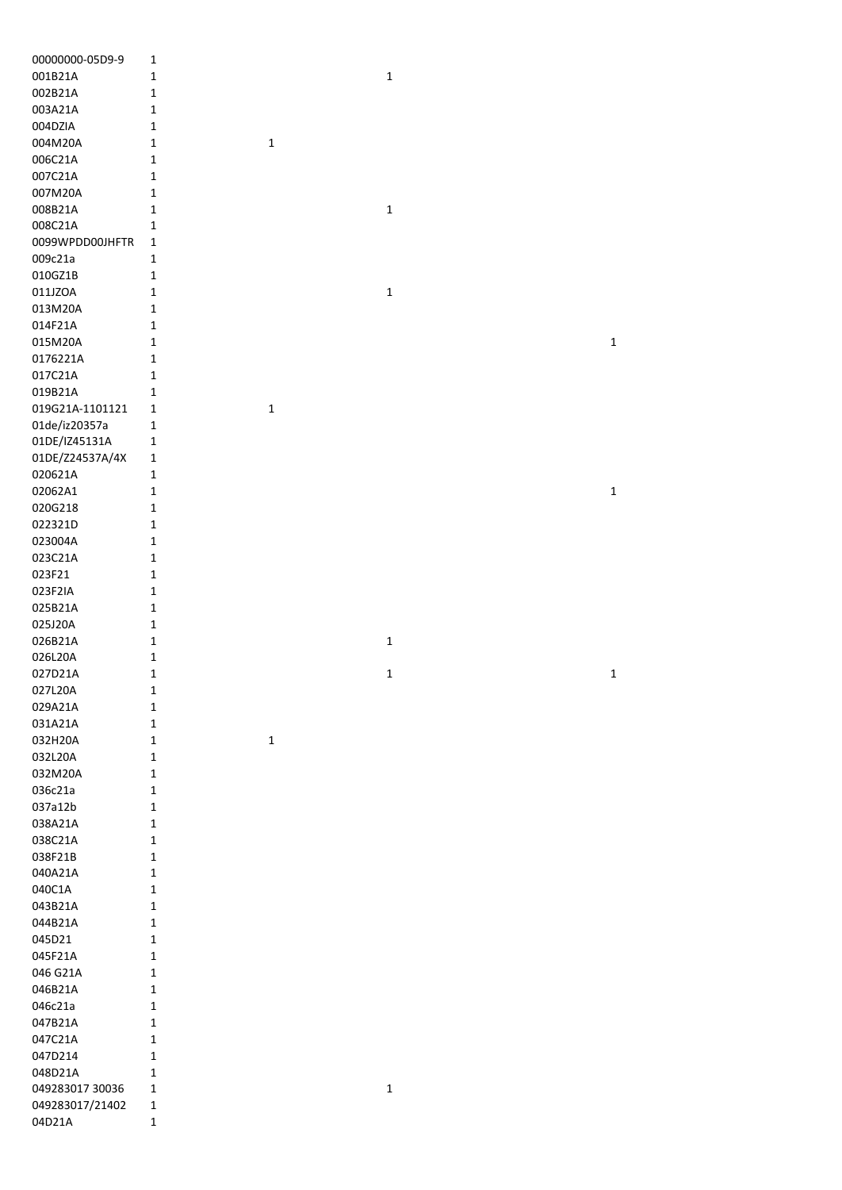| 00000000-05D9-9 | $\mathbf 1$  |             |             |             |
|-----------------|--------------|-------------|-------------|-------------|
| 001B21A         | 1            |             | $\mathbf 1$ |             |
| 002B21A         | $\mathbf 1$  |             |             |             |
| 003A21A         | 1            |             |             |             |
| 004DZIA         | 1            |             |             |             |
|                 |              |             |             |             |
| 004M20A         | $\mathbf{1}$ | $\mathbf 1$ |             |             |
| 006C21A         | $\mathbf 1$  |             |             |             |
| 007C21A         | 1            |             |             |             |
| 007M20A         | 1            |             |             |             |
| 008B21A         | 1            |             | $\mathbf 1$ |             |
| 008C21A         | 1            |             |             |             |
| 0099WPDD00JHFTR | $\mathbf 1$  |             |             |             |
| 009c21a         | $\mathbf{1}$ |             |             |             |
|                 |              |             |             |             |
| 010GZ1B         | $\mathbf 1$  |             |             |             |
| 011JZOA         | $\mathbf 1$  |             | $\mathbf 1$ |             |
| 013M20A         | 1            |             |             |             |
| 014F21A         | $\mathbf 1$  |             |             |             |
| 015M20A         | 1            |             |             | $\mathbf 1$ |
| 0176221A        | 1            |             |             |             |
| 017C21A         | $\mathbf 1$  |             |             |             |
| 019B21A         |              |             |             |             |
|                 | 1            |             |             |             |
| 019G21A-1101121 | $\mathbf 1$  | $\mathbf 1$ |             |             |
| 01de/iz20357a   | 1            |             |             |             |
| 01DE/IZ45131A   | 1            |             |             |             |
| 01DE/Z24537A/4X | $\mathbf{1}$ |             |             |             |
| 020621A         | $\mathbf 1$  |             |             |             |
| 02062A1         | 1            |             |             | $\mathbf 1$ |
| 020G218         | 1            |             |             |             |
| 022321D         | 1            |             |             |             |
|                 |              |             |             |             |
| 023004A         | $\mathbf 1$  |             |             |             |
| 023C21A         | $\mathbf 1$  |             |             |             |
| 023F21          | $\mathbf 1$  |             |             |             |
| 023F2IA         | 1            |             |             |             |
| 025B21A         | 1            |             |             |             |
| 025J20A         | 1            |             |             |             |
| 026B21A         | $\mathbf 1$  |             | $\mathbf 1$ |             |
| 026L20A         | 1            |             |             |             |
| 027D21A         | $\mathbf 1$  |             | $\mathbf 1$ | $\mathbf 1$ |
|                 |              |             |             |             |
| 027L20A         | 1            |             |             |             |
| 029A21A         | 1            |             |             |             |
| 031A21A         |              |             |             |             |
|                 | $\mathbf 1$  |             |             |             |
| 032H20A         | $\mathbf 1$  | $\mathbf 1$ |             |             |
| 032L20A         | $\mathbf 1$  |             |             |             |
| 032M20A         | 1            |             |             |             |
|                 |              |             |             |             |
| 036c21a         | 1            |             |             |             |
| 037a12b         | 1            |             |             |             |
| 038A21A         | 1            |             |             |             |
| 038C21A         | 1            |             |             |             |
| 038F21B         | 1            |             |             |             |
| 040A21A         | 1            |             |             |             |
| 040C1A          | 1            |             |             |             |
| 043B21A         | 1            |             |             |             |
| 044B21A         | 1            |             |             |             |
|                 |              |             |             |             |
| 045D21          | 1            |             |             |             |
| 045F21A         | 1            |             |             |             |
| 046 G21A        | 1            |             |             |             |
| 046B21A         | 1            |             |             |             |
| 046c21a         | 1            |             |             |             |
| 047B21A         | 1            |             |             |             |
| 047C21A         | 1            |             |             |             |
| 047D214         | 1            |             |             |             |
| 048D21A         | $\mathbf 1$  |             |             |             |
| 049283017 30036 | 1            |             | $\mathbf 1$ |             |
| 049283017/21402 | $\mathbf 1$  |             |             |             |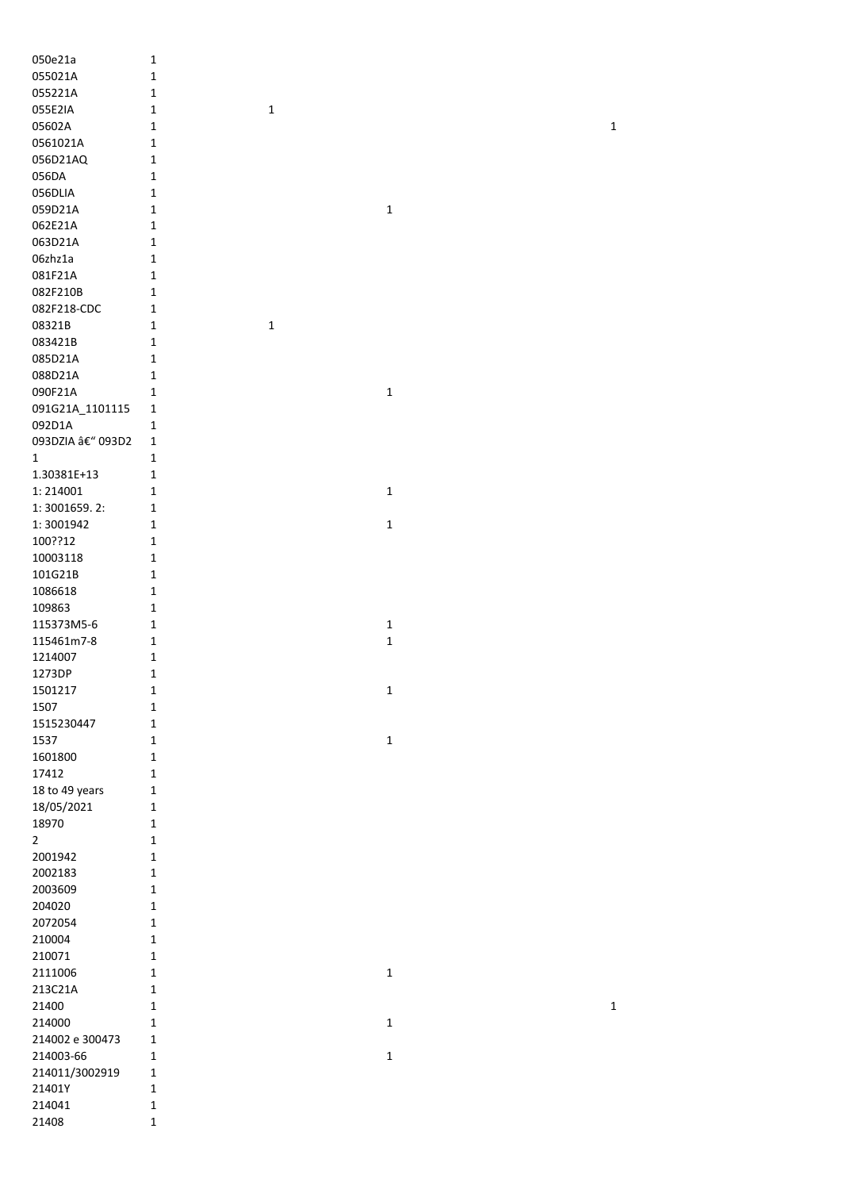| 050e21a           | $\mathbf{1}$ |             |              |             |
|-------------------|--------------|-------------|--------------|-------------|
| 055021A           | $\mathbf{1}$ |             |              |             |
| 055221A           | $\mathbf{1}$ |             |              |             |
| 055E2IA           | $\mathbf 1$  | $\mathbf 1$ |              |             |
| 05602A            | 1            |             |              | $\mathbf 1$ |
|                   |              |             |              |             |
| 0561021A          | 1            |             |              |             |
| 056D21AQ          | $\mathbf{1}$ |             |              |             |
| 056DA             | $\mathbf 1$  |             |              |             |
| 056DLIA           | 1            |             |              |             |
| 059D21A           | 1            |             | $\mathbf 1$  |             |
| 062E21A           | $\mathbf 1$  |             |              |             |
| 063D21A           | 1            |             |              |             |
| 06zhz1a           | $\mathbf 1$  |             |              |             |
| 081F21A           | $\mathbf 1$  |             |              |             |
| 082F210B          | 1            |             |              |             |
| 082F218-CDC       | $\mathbf{1}$ |             |              |             |
|                   |              |             |              |             |
| 08321B            | $\mathbf 1$  | $\mathbf 1$ |              |             |
| 083421B           | $\mathbf 1$  |             |              |             |
| 085D21A           | $\mathbf 1$  |             |              |             |
| 088D21A           | $\mathbf 1$  |             |              |             |
| 090F21A           | $\mathbf 1$  |             | $\mathbf{1}$ |             |
| 091G21A_1101115   | $\mathbf{1}$ |             |              |             |
| 092D1A            | $\mathbf 1$  |             |              |             |
| 093DZIA â€" 093D2 | $\mathbf{1}$ |             |              |             |
| $\mathbf{1}$      | $\mathbf 1$  |             |              |             |
| 1.30381E+13       | $\mathbf{1}$ |             |              |             |
| 1:214001          | $\mathbf{1}$ |             | $\mathbf 1$  |             |
| 1:3001659.2:      | $\mathbf{1}$ |             |              |             |
| 1:3001942         | $\mathbf{1}$ |             | $\mathbf 1$  |             |
|                   |              |             |              |             |
| 100??12           | $\mathbf{1}$ |             |              |             |
| 10003118          | $\mathbf{1}$ |             |              |             |
| 101G21B           | $\mathbf{1}$ |             |              |             |
| 1086618           | $\mathbf 1$  |             |              |             |
| 109863            | $\mathbf 1$  |             |              |             |
| 115373M5-6        | 1            |             | $\mathbf 1$  |             |
| 115461m7-8        | 1            |             | $\mathbf 1$  |             |
| 1214007           | 1            |             |              |             |
| 1273DP            | $\mathbf 1$  |             |              |             |
| 1501217           | 1            |             | 1            |             |
| 1507              | 1            |             |              |             |
| 1515230447        | $\mathbf 1$  |             |              |             |
|                   |              |             |              |             |
| 1537              | $\mathbf 1$  |             | $\mathbf 1$  |             |
| 1601800           | $\mathbf 1$  |             |              |             |
| 17412             | $\mathbf 1$  |             |              |             |
| 18 to 49 years    | $\mathbf 1$  |             |              |             |
| 18/05/2021        | $\mathbf 1$  |             |              |             |
| 18970             | $\mathbf 1$  |             |              |             |
| $\overline{2}$    | $\mathbf 1$  |             |              |             |
| 2001942           | $\mathbf 1$  |             |              |             |
| 2002183           | $\mathbf 1$  |             |              |             |
| 2003609           | $\mathbf 1$  |             |              |             |
| 204020            | $\mathbf{1}$ |             |              |             |
| 2072054           | $\mathbf 1$  |             |              |             |
|                   |              |             |              |             |
| 210004            | 1            |             |              |             |
| 210071            | 1            |             |              |             |
| 2111006           | $\mathbf{1}$ |             | $\mathbf 1$  |             |
| 213C21A           | $\mathbf 1$  |             |              |             |
| 21400             | 1            |             |              | $\mathbf 1$ |
| 214000            | $\mathbf 1$  |             | $\mathbf 1$  |             |
| 214002 e 300473   | 1            |             |              |             |
| 214003-66         | 1            |             | $\mathbf 1$  |             |
| 214011/3002919    | $\mathbf 1$  |             |              |             |
| 21401Y            | $\mathbf{1}$ |             |              |             |
| 214041            | $\mathbf 1$  |             |              |             |
| 21408             | $\mathbf 1$  |             |              |             |
|                   |              |             |              |             |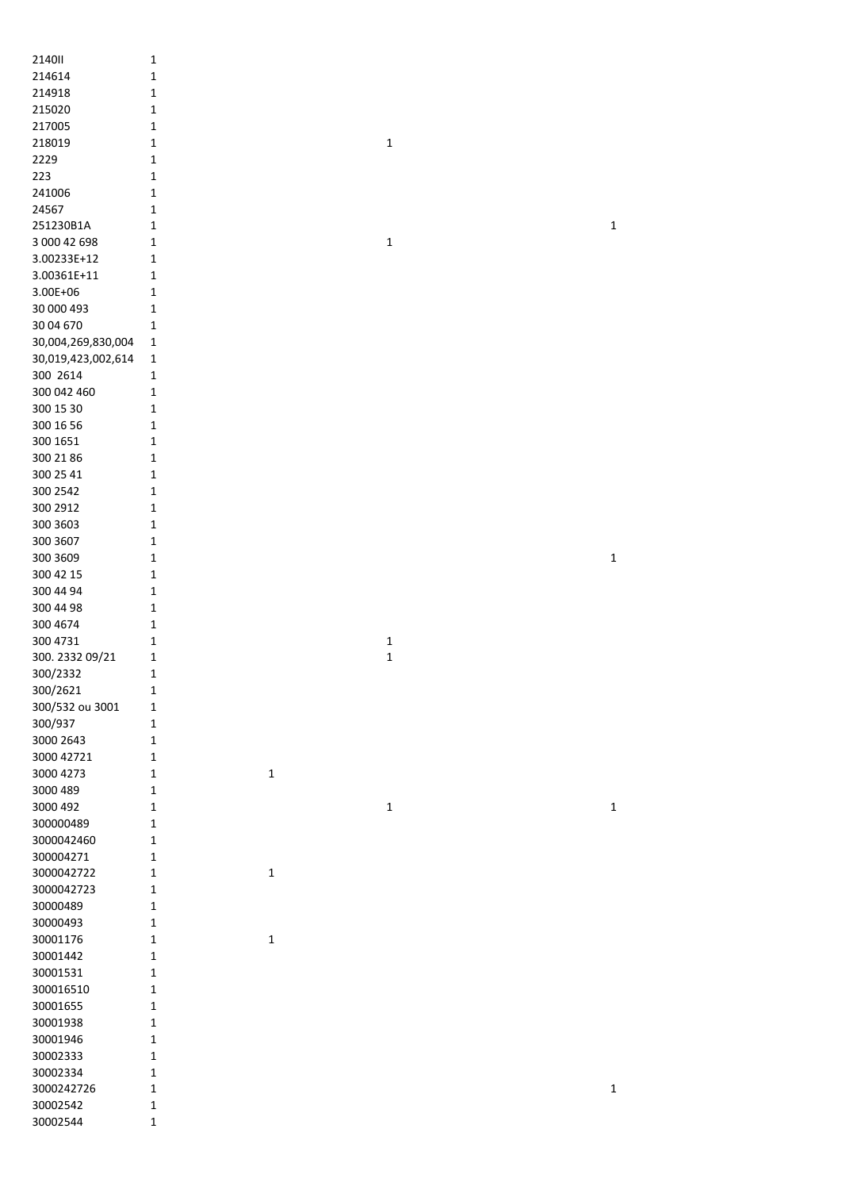| 214011                | $\mathbf 1$ |             |                             |             |
|-----------------------|-------------|-------------|-----------------------------|-------------|
| 214614                | $\mathbf 1$ |             |                             |             |
| 214918                | 1           |             |                             |             |
| 215020                | $\mathbf 1$ |             |                             |             |
| 217005                | $\mathbf 1$ |             |                             |             |
| 218019                | $\mathbf 1$ |             | $\mathbf 1$                 |             |
| 2229                  | $\mathbf 1$ |             |                             |             |
| 223                   | $\mathbf 1$ |             |                             |             |
| 241006                | 1           |             |                             |             |
| 24567                 | 1           |             |                             |             |
| 251230B1A             | 1           |             |                             | $\mathbf 1$ |
| 3 000 42 698          | 1           |             | $\mathbf 1$                 |             |
| 3.00233E+12           | 1           |             |                             |             |
| 3.00361E+11           | 1           |             |                             |             |
| 3.00E+06              | 1           |             |                             |             |
| 30 000 493            | 1           |             |                             |             |
| 30 04 670             | 1           |             |                             |             |
| 30,004,269,830,004    | 1           |             |                             |             |
| 30,019,423,002,614    | 1           |             |                             |             |
| 300 2614              | 1           |             |                             |             |
| 300 042 460           | 1           |             |                             |             |
| 300 15 30             | 1           |             |                             |             |
| 300 16 56             | $\mathbf 1$ |             |                             |             |
| 300 1651              | $\mathbf 1$ |             |                             |             |
| 300 21 86             | $\mathbf 1$ |             |                             |             |
| 300 25 41             | 1           |             |                             |             |
| 300 2542              | $\mathbf 1$ |             |                             |             |
| 300 2912              | $\mathbf 1$ |             |                             |             |
| 300 3603              | $\mathbf 1$ |             |                             |             |
| 300 3607              | $\mathbf 1$ |             |                             |             |
| 300 3609              | $\mathbf 1$ |             |                             | $\mathbf 1$ |
| 300 42 15             | 1           |             |                             |             |
| 300 44 94             | 1           |             |                             |             |
| 300 44 98<br>300 4674 | 1           |             |                             |             |
| 300 4731              | 1<br>1      |             |                             |             |
| 300. 2332 09/21       | 1           |             | $\mathbf{1}$<br>$\mathbf 1$ |             |
| 300/2332              | 1           |             |                             |             |
| 300/2621              | 1           |             |                             |             |
| 300/532 ou 3001       | 1           |             |                             |             |
| 300/937               | 1           |             |                             |             |
| 3000 2643             | 1           |             |                             |             |
| 3000 42721            | 1           |             |                             |             |
| 3000 4273             | 1           | $\mathbf 1$ |                             |             |
| 3000 489              | 1           |             |                             |             |
| 3000 492              | 1           |             | $\mathbf 1$                 | $\mathbf 1$ |
| 300000489             | 1           |             |                             |             |
| 3000042460            | 1           |             |                             |             |
| 300004271             | 1           |             |                             |             |
| 3000042722            | 1           | $\mathbf 1$ |                             |             |
| 3000042723            | 1           |             |                             |             |
| 30000489              | 1           |             |                             |             |
| 30000493              | 1           |             |                             |             |
| 30001176              | $\mathbf 1$ | $\mathbf 1$ |                             |             |
| 30001442              | 1           |             |                             |             |
| 30001531              | 1           |             |                             |             |
| 300016510             | 1           |             |                             |             |
| 30001655              | 1           |             |                             |             |
| 30001938              | 1           |             |                             |             |
| 30001946              | 1           |             |                             |             |
| 30002333              | 1           |             |                             |             |
| 30002334              | 1           |             |                             |             |
| 3000242726            | 1           |             |                             | $\mathbf 1$ |
| 30002542              | 1           |             |                             |             |
| 30002544              | 1           |             |                             |             |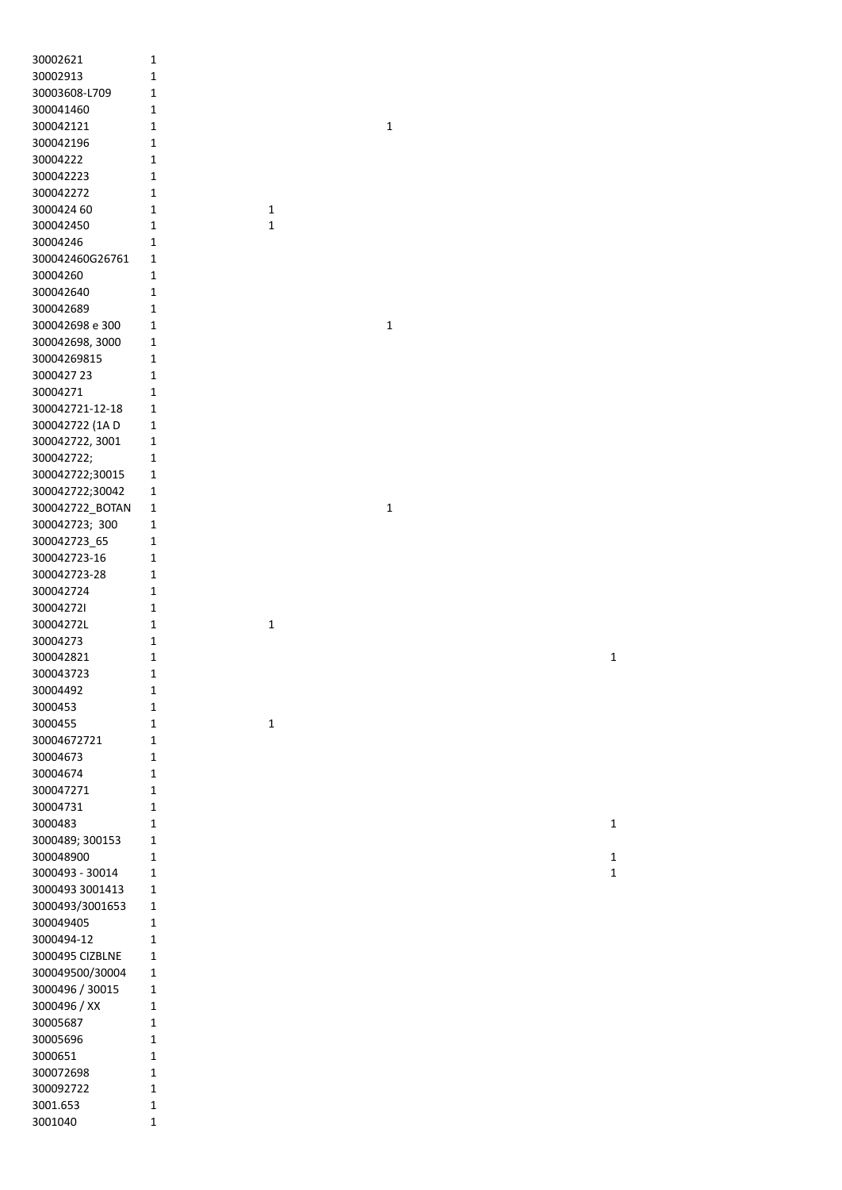| 30002621            | $\mathbf{1}$     |              |              |              |
|---------------------|------------------|--------------|--------------|--------------|
| 30002913            | 1                |              |              |              |
| 30003608-L709       | 1                |              |              |              |
| 300041460           | 1                |              |              |              |
| 300042121           | 1                |              | $\mathbf{1}$ |              |
| 300042196           | 1                |              |              |              |
| 30004222            | 1                |              |              |              |
| 300042223           | 1                |              |              |              |
| 300042272           | 1                |              |              |              |
| 3000424 60          | 1                | 1            |              |              |
| 300042450           | 1                | $\mathbf{1}$ |              |              |
| 30004246            | 1                |              |              |              |
|                     |                  |              |              |              |
| 300042460G26761     | 1                |              |              |              |
| 30004260            | 1                |              |              |              |
| 300042640           | $\mathbf{1}$     |              |              |              |
| 300042689           | 1                |              |              |              |
| 300042698 e 300     | 1                |              | $\mathbf{1}$ |              |
| 300042698, 3000     | $\mathbf{1}$     |              |              |              |
| 30004269815         | $\mathbf{1}$     |              |              |              |
| 3000427 23          | $\mathbf{1}$     |              |              |              |
| 30004271            | 1                |              |              |              |
| 300042721-12-18     | $\mathbf{1}$     |              |              |              |
| 300042722 (1AD      | 1                |              |              |              |
| 300042722, 3001     | 1                |              |              |              |
| 300042722;          | 1                |              |              |              |
| 300042722;30015     | 1                |              |              |              |
| 300042722;30042     | 1                |              |              |              |
| 300042722_BOTAN     | 1                |              | 1            |              |
| 300042723; 300      | 1                |              |              |              |
| 300042723_65        | 1                |              |              |              |
| 300042723-16        | $\mathbf{1}$     |              |              |              |
| 300042723-28        | $\mathbf{1}$     |              |              |              |
| 300042724           | 1                |              |              |              |
| 300042721           | 1                |              |              |              |
| 30004272L           | 1                | 1            |              |              |
| 30004273            | 1                |              |              |              |
| 300042821           | 1                |              |              | 1            |
| 300043723           | 1                |              |              |              |
| 30004492            | 1                |              |              |              |
| 3000453             | 1                |              |              |              |
| 3000455             | 1                | $\mathbf{1}$ |              |              |
| 30004672721         | $\mathbf{1}$     |              |              |              |
| 30004673            | 1                |              |              |              |
| 30004674            | 1                |              |              |              |
| 300047271           | 1                |              |              |              |
| 30004731            | 1                |              |              |              |
| 3000483             | 1                |              |              | $\mathbf{1}$ |
| 3000489; 300153     | 1                |              |              |              |
| 300048900           |                  |              |              |              |
| 3000493 - 30014     |                  |              |              |              |
|                     | 1                |              |              | $\mathbf{1}$ |
|                     | 1                |              |              | $\mathbf 1$  |
| 3000493 3001413     | 1                |              |              |              |
| 3000493/3001653     | 1                |              |              |              |
| 300049405           | 1                |              |              |              |
| 3000494-12          | $\mathbf{1}$     |              |              |              |
| 3000495 CIZBLNE     | 1                |              |              |              |
| 300049500/30004     | 1                |              |              |              |
| 3000496 / 30015     | 1                |              |              |              |
| 3000496 / XX        | 1                |              |              |              |
| 30005687            | 1                |              |              |              |
| 30005696            | $\mathbf{1}$     |              |              |              |
| 3000651             | $\mathbf{1}$     |              |              |              |
| 300072698           | $\mathbf{1}$     |              |              |              |
| 300092722           | 1                |              |              |              |
| 3001.653<br>3001040 | 1<br>$\mathbf 1$ |              |              |              |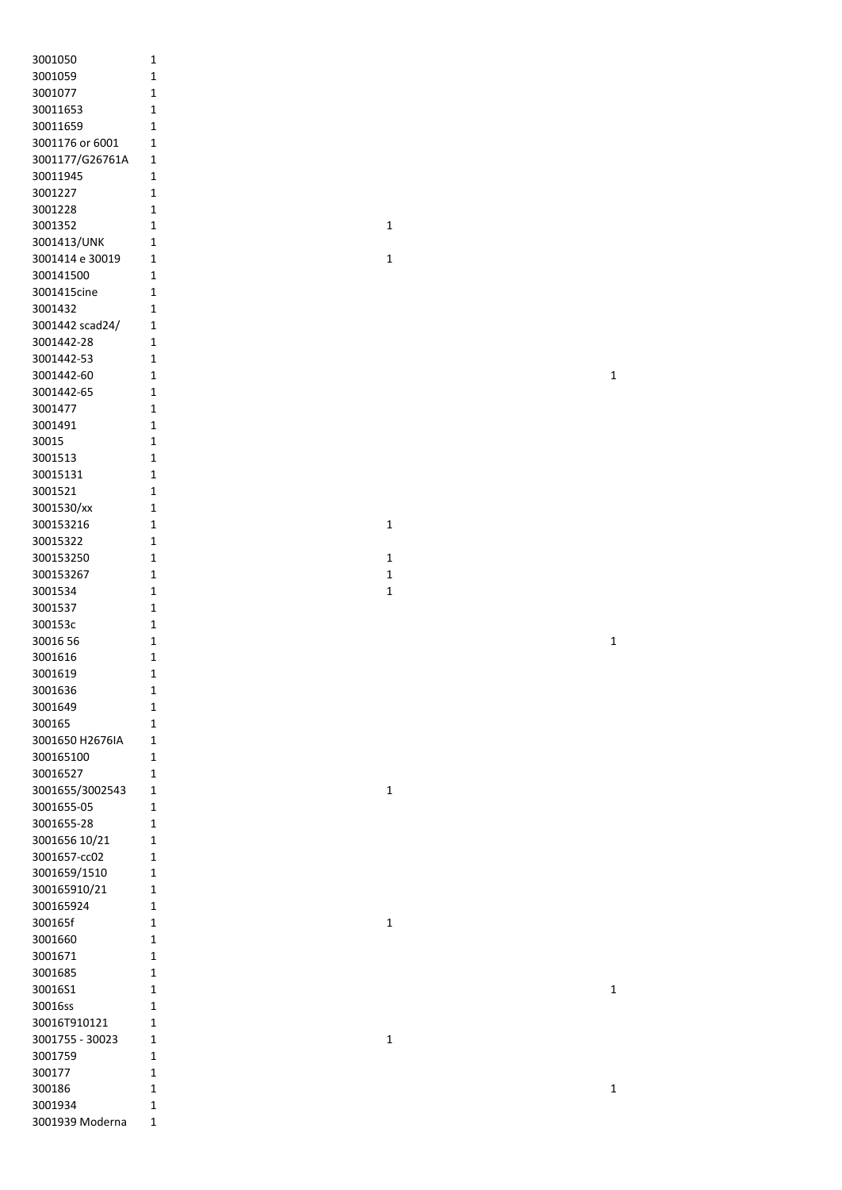| 3001050         | $\mathbf 1$  |  |             |  |              |
|-----------------|--------------|--|-------------|--|--------------|
| 3001059         | 1            |  |             |  |              |
| 3001077         | 1            |  |             |  |              |
| 30011653        | 1            |  |             |  |              |
| 30011659        | 1            |  |             |  |              |
| 3001176 or 6001 | 1            |  |             |  |              |
| 3001177/G26761A | $\mathbf 1$  |  |             |  |              |
| 30011945        | $\mathbf 1$  |  |             |  |              |
| 3001227         | 1            |  |             |  |              |
| 3001228         | 1            |  |             |  |              |
| 3001352         | $\mathbf 1$  |  | $\mathbf 1$ |  |              |
| 3001413/UNK     | 1            |  |             |  |              |
| 3001414 e 30019 | 1            |  | $\mathbf 1$ |  |              |
| 300141500       | 1            |  |             |  |              |
| 3001415cine     | 1            |  |             |  |              |
| 3001432         | $\mathbf 1$  |  |             |  |              |
| 3001442 scad24/ | $\mathbf 1$  |  |             |  |              |
| 3001442-28      | 1            |  |             |  |              |
| 3001442-53      | 1            |  |             |  |              |
| 3001442-60      | 1            |  |             |  | $\mathbf 1$  |
| 3001442-65      | 1            |  |             |  |              |
| 3001477         | 1            |  |             |  |              |
| 3001491         | 1            |  |             |  |              |
| 30015           | $\mathbf 1$  |  |             |  |              |
| 3001513         | 1            |  |             |  |              |
| 30015131        | $\mathbf 1$  |  |             |  |              |
| 3001521         | 1            |  |             |  |              |
| 3001530/xx      | 1            |  |             |  |              |
| 300153216       | 1            |  | $\mathbf 1$ |  |              |
| 30015322        | 1            |  |             |  |              |
| 300153250       | $\mathbf 1$  |  | $\mathbf 1$ |  |              |
| 300153267       | 1            |  | $\mathbf 1$ |  |              |
| 3001534         | 1            |  | $\mathbf 1$ |  |              |
| 3001537         | 1            |  |             |  |              |
| 300153c         | 1            |  |             |  |              |
| 30016 56        | 1            |  |             |  | $\mathbf 1$  |
| 3001616         | $\mathbf 1$  |  |             |  |              |
| 3001619         | 1            |  |             |  |              |
| 3001636         | 1            |  |             |  |              |
| 3001649         | 1            |  |             |  |              |
| 300165          | $\mathbf 1$  |  |             |  |              |
| 3001650 H2676IA | 1            |  |             |  |              |
| 300165100       | 1            |  |             |  |              |
| 30016527        | 1            |  |             |  |              |
| 3001655/3002543 | $\mathbf 1$  |  | $\mathbf 1$ |  |              |
| 3001655-05      | $\mathbf 1$  |  |             |  |              |
| 3001655-28      | 1            |  |             |  |              |
| 3001656 10/21   | 1            |  |             |  |              |
| 3001657-cc02    | 1            |  |             |  |              |
| 3001659/1510    | 1            |  |             |  |              |
| 300165910/21    | 1            |  |             |  |              |
| 300165924       | 1            |  |             |  |              |
| 300165f         | $\mathbf 1$  |  | $\mathbf 1$ |  |              |
|                 | $\mathbf{1}$ |  |             |  |              |
| 3001660         | $\mathbf{1}$ |  |             |  |              |
| 3001671         | $\mathbf{1}$ |  |             |  |              |
| 3001685         |              |  |             |  |              |
| 30016S1         | $\mathbf{1}$ |  |             |  | $\mathbf 1$  |
| 30016ss         | $\mathbf{1}$ |  |             |  |              |
| 30016T910121    | 1            |  |             |  |              |
| 3001755 - 30023 | 1            |  | $\mathbf 1$ |  |              |
| 3001759         | 1            |  |             |  |              |
| 300177          | $\mathbf 1$  |  |             |  |              |
| 300186          | $\mathbf 1$  |  |             |  | $\mathbf{1}$ |
| 3001934         | $\mathbf{1}$ |  |             |  |              |
| 3001939 Moderna | $\mathbf 1$  |  |             |  |              |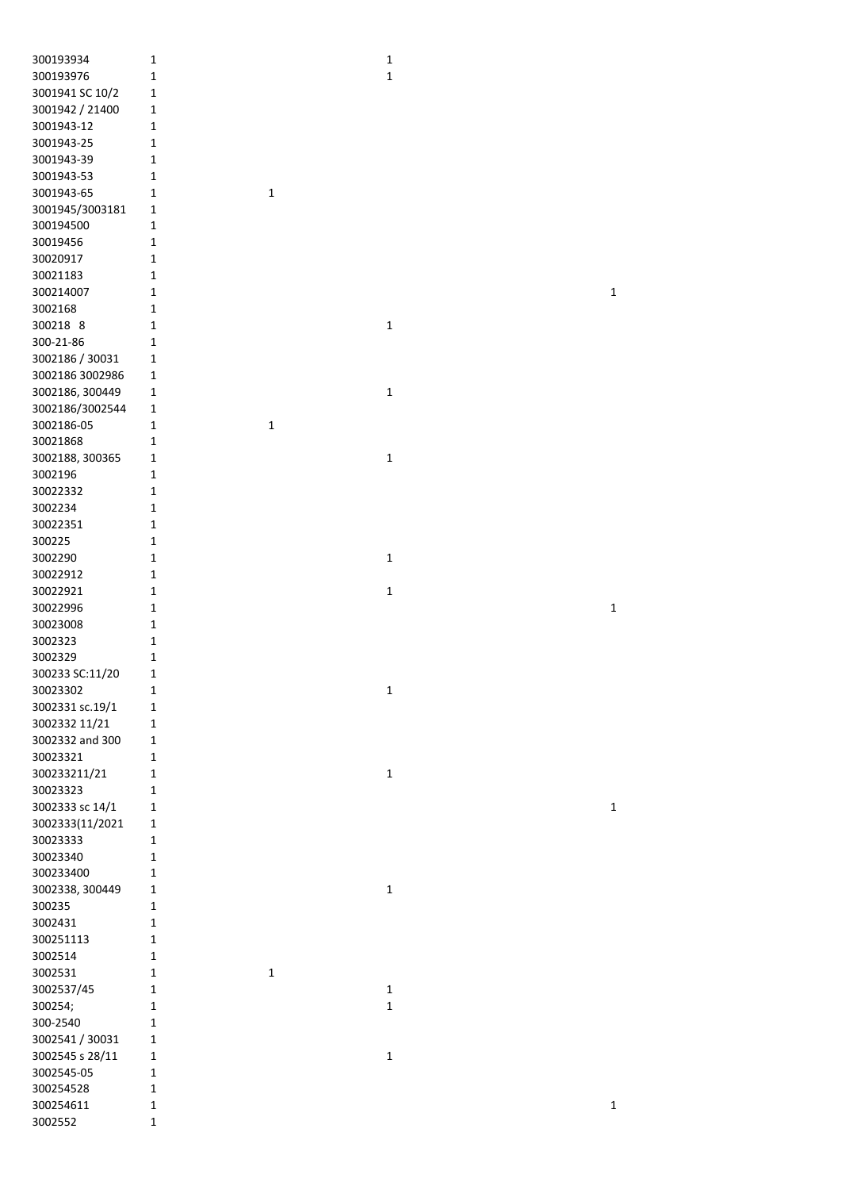| 300193934           | $\mathbf 1$      |              | $\mathbf 1$  |              |
|---------------------|------------------|--------------|--------------|--------------|
| 300193976           | 1                |              | $\mathbf 1$  |              |
| 3001941 SC 10/2     | 1                |              |              |              |
| 3001942 / 21400     | 1                |              |              |              |
| 3001943-12          | $\mathbf{1}$     |              |              |              |
| 3001943-25          | $\mathbf 1$      |              |              |              |
| 3001943-39          | 1                |              |              |              |
| 3001943-53          | 1                |              |              |              |
| 3001943-65          | $\mathbf 1$      | $\mathbf 1$  |              |              |
| 3001945/3003181     | $\mathbf{1}$     |              |              |              |
| 300194500           | 1                |              |              |              |
| 30019456            | $\mathbf 1$      |              |              |              |
|                     |                  |              |              |              |
| 30020917            | $\mathbf 1$      |              |              |              |
| 30021183            | 1                |              |              |              |
| 300214007           | 1                |              |              | $\mathbf{1}$ |
| 3002168             | 1                |              |              |              |
| 300218 8            | 1                |              | $\mathbf 1$  |              |
| 300-21-86           | $\mathbf 1$      |              |              |              |
| 3002186 / 30031     | 1                |              |              |              |
| 3002186 3002986     | 1                |              |              |              |
| 3002186, 300449     | $\mathbf{1}$     |              | $\mathbf 1$  |              |
| 3002186/3002544     | $\mathbf{1}$     |              |              |              |
| 3002186-05          | 1                | $\mathbf 1$  |              |              |
| 30021868            | 1                |              |              |              |
| 3002188, 300365     | $\mathbf 1$      |              | $\mathbf 1$  |              |
| 3002196             | $\mathbf 1$      |              |              |              |
| 30022332            | $\mathbf{1}$     |              |              |              |
| 3002234             | 1                |              |              |              |
| 30022351            | 1                |              |              |              |
| 300225              | 1                |              |              |              |
| 3002290             | 1                |              | $\mathbf 1$  |              |
| 30022912            | 1                |              |              |              |
| 30022921            | 1                |              | $\mathbf 1$  |              |
| 30022996            | 1                |              |              | $\mathbf 1$  |
| 30023008            | 1                |              |              |              |
| 3002323             | $\mathbf 1$      |              |              |              |
|                     |                  |              |              |              |
| 3002329             | 1                |              |              |              |
| 300233 SC:11/20     | 1                |              |              |              |
| 30023302            | 1                |              | 1            |              |
| 3002331 sc.19/1     | 1                |              |              |              |
| 3002332 11/21       | $\mathbf 1$      |              |              |              |
| 3002332 and 300     | $\mathbf 1$      |              |              |              |
| 30023321            | $\mathbf 1$      |              |              |              |
| 300233211/21        | $\mathbf 1$      |              | $\mathbf 1$  |              |
| 30023323            | $\mathbf 1$      |              |              |              |
| 3002333 sc 14/1     | $\mathbf 1$      |              |              | $\mathbf 1$  |
| 3002333(11/2021     | $\mathbf{1}$     |              |              |              |
| 30023333            | $\mathbf 1$      |              |              |              |
| 30023340            | $\mathbf 1$      |              |              |              |
| 300233400           | $\mathbf 1$      |              |              |              |
| 3002338, 300449     | $\mathbf{1}$     |              | $\mathbf 1$  |              |
| 300235              | 1                |              |              |              |
| 3002431             | $\mathbf 1$      |              |              |              |
| 300251113           | $\mathbf 1$      |              |              |              |
| 3002514             | $\mathbf 1$      |              |              |              |
| 3002531             | $\mathbf 1$      | $\mathbf{1}$ |              |              |
| 3002537/45          | 1                |              | $\mathbf{1}$ |              |
|                     |                  |              | $\mathbf 1$  |              |
| 300254;<br>300-2540 | 1<br>$\mathbf 1$ |              |              |              |
|                     |                  |              |              |              |
| 3002541 / 30031     | $\mathbf 1$      |              |              |              |
| 3002545 s 28/11     | $\mathbf 1$      |              | $\mathbf 1$  |              |
| 3002545-05          | $\mathbf 1$      |              |              |              |
| 300254528           | $\mathbf 1$      |              |              |              |
| 300254611           | $\mathbf 1$      |              |              | $\mathbf 1$  |
| 3002552             | $\mathbf 1$      |              |              |              |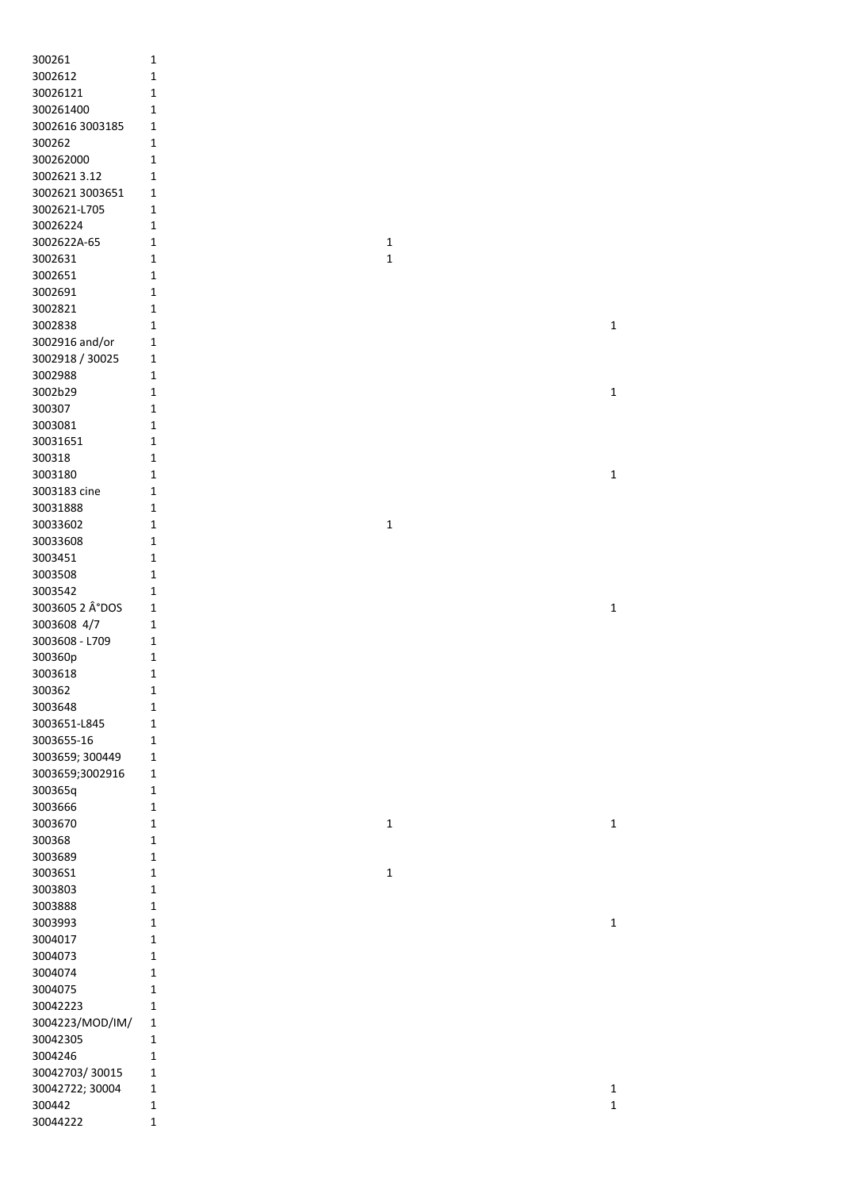| 300261             | $\mathbf{1}$               |              |              |
|--------------------|----------------------------|--------------|--------------|
| 3002612            | 1                          |              |              |
| 30026121           | $\mathbf 1$                |              |              |
| 300261400          | 1                          |              |              |
| 3002616 3003185    | 1                          |              |              |
| 300262             | 1                          |              |              |
| 300262000          | 1                          |              |              |
|                    |                            |              |              |
| 30026213.12        | 1                          |              |              |
| 3002621 3003651    | 1                          |              |              |
| 3002621-L705       | 1                          |              |              |
| 30026224           | 1                          |              |              |
| 3002622A-65        | 1                          | $\mathbf{1}$ |              |
| 3002631            | 1                          | $\mathbf 1$  |              |
| 3002651            | 1                          |              |              |
| 3002691            | $\mathbf{1}$               |              |              |
| 3002821            | $\mathbf{1}$               |              |              |
| 3002838            | $\mathbf 1$                |              | $\mathbf 1$  |
| 3002916 and/or     | 1                          |              |              |
|                    |                            |              |              |
| 3002918 / 30025    | $\mathbf 1$                |              |              |
| 3002988            | $\mathbf 1$                |              |              |
| 3002b29            | 1                          |              | $\mathbf 1$  |
| 300307             | 1                          |              |              |
| 3003081            | 1                          |              |              |
| 30031651           | 1                          |              |              |
| 300318             | $\mathbf 1$                |              |              |
| 3003180            | $\mathbf{1}$               |              | $\mathbf 1$  |
| 3003183 cine       | 1                          |              |              |
| 30031888           | 1                          |              |              |
| 30033602           | 1                          | $\mathbf 1$  |              |
|                    |                            |              |              |
| 30033608           | 1                          |              |              |
| 3003451            | 1                          |              |              |
| 3003508            | 1                          |              |              |
| 3003542            | 1                          |              |              |
| 3003605 2 °DOS     | 1                          |              | $\mathbf{1}$ |
| 3003608 4/7        | 1                          |              |              |
| 3003608 - L709     | 1                          |              |              |
| 300360p            | $\mathbf 1$                |              |              |
| 3003618            | $\mathbf 1$                |              |              |
| 300362             | 1                          |              |              |
|                    | $\mathbf 1$                |              |              |
| 3003648            |                            |              |              |
| 3003651-L845       | $\mathbf 1$                |              |              |
| 3003655-16         | 1                          |              |              |
| 3003659; 300449    | $\mathbf 1$                |              |              |
| 3003659;3002916    | $\mathbf 1$                |              |              |
| 300365q            | 1                          |              |              |
| 3003666            | $\mathbf 1$                |              |              |
| 3003670            | 1                          | $\mathbf 1$  | $\mathbf{1}$ |
| 300368             | $\mathbf 1$                |              |              |
| 3003689            | $\mathbf 1$                |              |              |
| 30036S1            | $\mathbf 1$                | $\mathbf 1$  |              |
| 3003803            | 1                          |              |              |
| 3003888            | 1                          |              |              |
|                    |                            |              |              |
| 3003993            | $\mathbf{1}$               |              | $\mathbf 1$  |
| 3004017            | 1                          |              |              |
| 3004073            | 1                          |              |              |
| 3004074            | 1                          |              |              |
| 3004075            |                            |              |              |
|                    | 1                          |              |              |
| 30042223           | 1                          |              |              |
| 3004223/MOD/IM/    | 1                          |              |              |
|                    | 1                          |              |              |
| 30042305           |                            |              |              |
| 3004246            | 1                          |              |              |
| 30042703/30015     | 1                          |              |              |
| 30042722; 30004    | $\mathbf 1$                |              | $\mathbf 1$  |
| 300442<br>30044222 | $\mathbf 1$<br>$\mathbf 1$ |              | $\mathbf 1$  |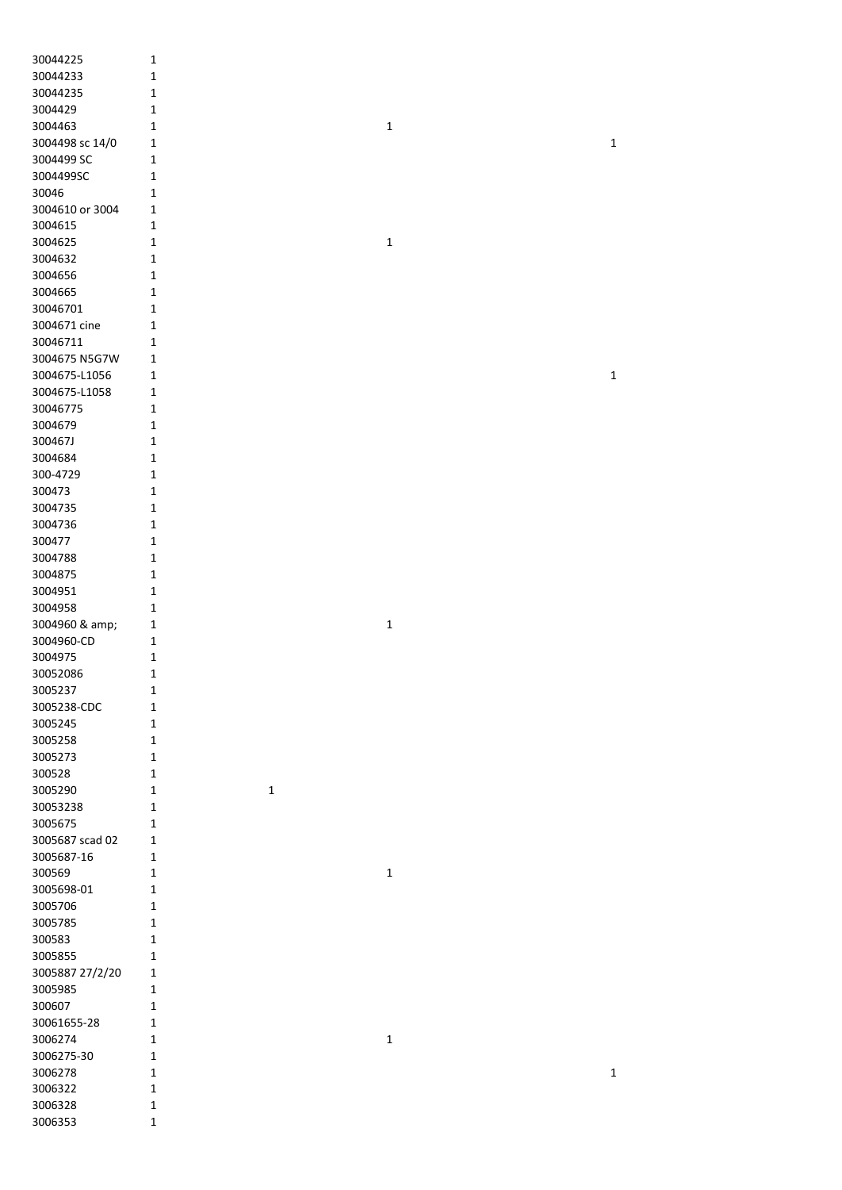| 30044225                   | $\mathbf{1}$                 |             |             |
|----------------------------|------------------------------|-------------|-------------|
| 30044233                   | $\mathbf{1}$                 |             |             |
| 30044235                   | $\mathbf{1}$                 |             |             |
| 3004429                    | 1                            |             |             |
| 3004463                    | 1                            | $\mathbf 1$ |             |
| 3004498 sc 14/0            | 1                            |             | $\mathbf 1$ |
| 3004499 SC                 | $\mathbf{1}$                 |             |             |
| 3004499SC                  | $\mathbf{1}$                 |             |             |
| 30046                      | 1                            |             |             |
| 3004610 or 3004            | 1                            |             |             |
| 3004615                    | 1                            |             |             |
| 3004625                    | $\mathbf{1}$                 | $\mathbf 1$ |             |
| 3004632                    | $\mathbf{1}$                 |             |             |
| 3004656                    | 1                            |             |             |
| 3004665                    | 1                            |             |             |
| 30046701                   | 1                            |             |             |
| 3004671 cine               | 1                            |             |             |
| 30046711                   | $\mathbf{1}$                 |             |             |
| 3004675 N5G7W              | $\mathbf{1}$                 |             |             |
| 3004675-L1056              | $\mathbf{1}$                 |             | 1           |
| 3004675-L1058              | 1                            |             |             |
| 30046775                   | 1                            |             |             |
| 3004679                    | $\mathbf{1}$                 |             |             |
| 300467J                    | $\mathbf{1}$                 |             |             |
| 3004684                    | $\mathbf{1}$                 |             |             |
| 300-4729                   | $\mathbf{1}$                 |             |             |
| 300473                     | 1                            |             |             |
| 3004735                    | 1                            |             |             |
| 3004736                    | 1                            |             |             |
| 300477                     | 1                            |             |             |
| 3004788                    | $\mathbf{1}$                 |             |             |
| 3004875                    | 1                            |             |             |
| 3004951                    | 1                            |             |             |
| 3004958                    | 1                            |             |             |
| 3004960 & amp;             | 1                            | $\mathbf 1$ |             |
| 3004960-CD                 | 1                            |             |             |
| 3004975                    | $\mathbf{1}$                 |             |             |
| 30052086                   | $\mathbf{1}$                 |             |             |
| 3005237                    |                              |             |             |
| 3005238-CDC                | 1                            |             |             |
| 3005245                    | 1<br>1                       |             |             |
| 3005258                    | 1                            |             |             |
| 3005273                    |                              |             |             |
|                            | 1                            |             |             |
| 300528                     | 1                            |             |             |
| 3005290                    | $\mathbf 1$<br>1             |             |             |
| 30053238<br>3005675        | $\mathbf{1}$<br>$\mathbf{1}$ |             |             |
| 3005687 scad 02            | $\mathbf{1}$                 |             |             |
| 3005687-16                 | $\mathbf{1}$                 |             |             |
| 300569                     | $\mathbf{1}$                 |             |             |
| 3005698-01                 | 1                            | $\mathbf 1$ |             |
| 3005706                    |                              |             |             |
| 3005785                    | 1<br>1                       |             |             |
| 300583                     | 1                            |             |             |
| 3005855                    |                              |             |             |
|                            | 1                            |             |             |
| 3005887 27/2/20<br>3005985 | 1                            |             |             |
|                            | 1                            |             |             |
| 300607<br>30061655-28      | 1                            |             |             |
|                            | 1                            |             |             |
| 3006274                    | 1                            | $\mathbf 1$ |             |
| 3006275-30                 | 1                            |             |             |
| 3006278                    | 1                            |             | 1           |
| 3006322                    | 1                            |             |             |
| 3006328                    | 1                            |             |             |
| 3006353                    | 1                            |             |             |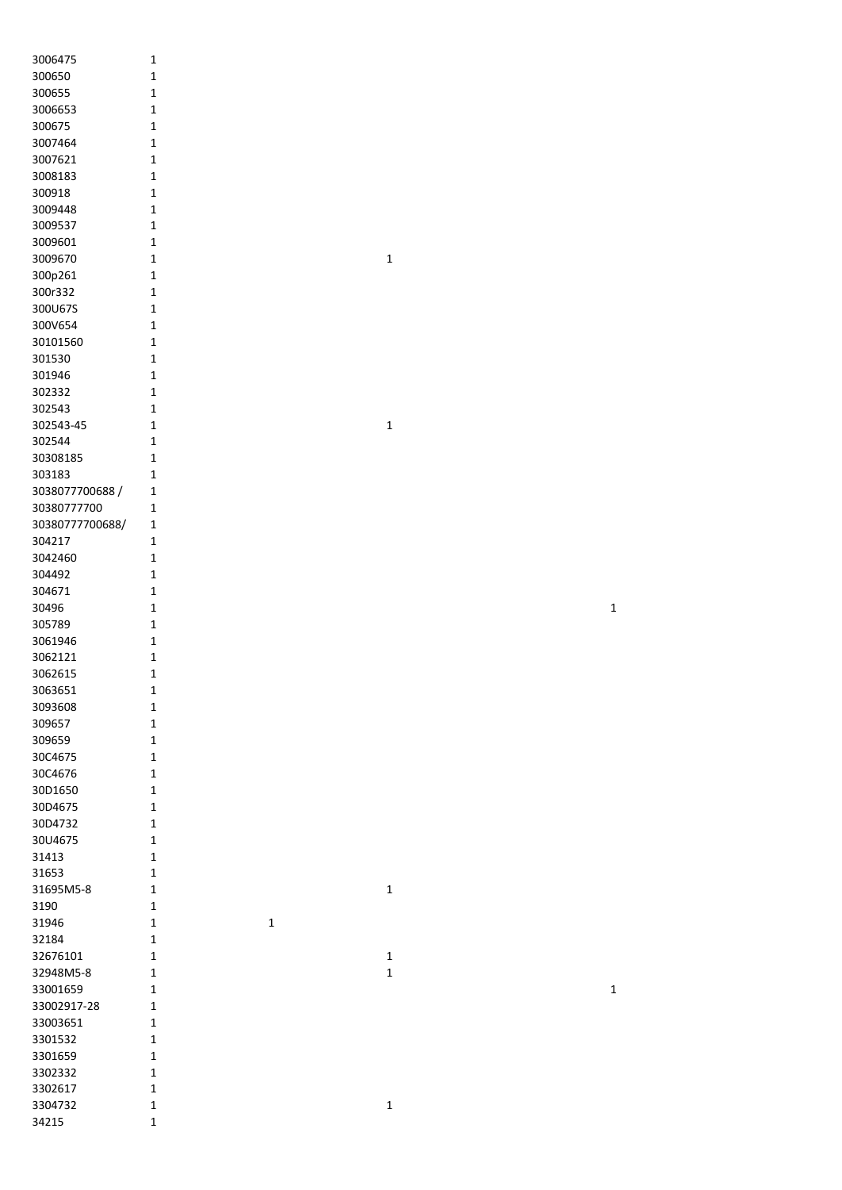| 3006475          | 1                |             |             |             |
|------------------|------------------|-------------|-------------|-------------|
| 300650           | $\mathbf 1$      |             |             |             |
| 300655           | $\mathbf 1$      |             |             |             |
| 3006653          | 1                |             |             |             |
| 300675           | 1                |             |             |             |
| 3007464          | 1                |             |             |             |
| 3007621          | 1                |             |             |             |
| 3008183          | 1                |             |             |             |
| 300918           | 1                |             |             |             |
| 3009448          | 1                |             |             |             |
| 3009537          | 1                |             |             |             |
| 3009601          | 1                |             |             |             |
| 3009670          | 1                |             | $\mathbf 1$ |             |
| 300p261          | $\mathbf 1$      |             |             |             |
| 300r332          | 1                |             |             |             |
| 300U67S          | 1                |             |             |             |
| 300V654          | 1                |             |             |             |
| 30101560         | 1                |             |             |             |
| 301530           | $\mathbf 1$      |             |             |             |
| 301946           | $\mathbf 1$      |             |             |             |
| 302332           | 1                |             |             |             |
|                  |                  |             |             |             |
| 302543           | 1                |             |             |             |
| 302543-45        | 1                |             | $\mathbf 1$ |             |
| 302544           | $\mathbf 1$      |             |             |             |
| 30308185         | 1                |             |             |             |
| 303183           | $\mathbf 1$      |             |             |             |
| 3038077700688 /  | $\mathbf{1}$     |             |             |             |
| 30380777700      | $\mathbf 1$      |             |             |             |
| 30380777700688/  | $\mathbf{1}$     |             |             |             |
| 304217           | 1                |             |             |             |
| 3042460          | 1                |             |             |             |
| 304492           | 1                |             |             |             |
| 304671           | $\mathbf 1$      |             |             |             |
|                  |                  |             |             |             |
| 30496            | 1                |             |             | 1           |
| 305789           | 1                |             |             |             |
| 3061946          | 1                |             |             |             |
| 3062121          | $\mathbf 1$      |             |             |             |
| 3062615          | $\mathbf 1$      |             |             |             |
| 3063651          | 1                |             |             |             |
| 3093608          | 1                |             |             |             |
| 309657           | $\mathbf 1$      |             |             |             |
| 309659           | $\mathbf{1}$     |             |             |             |
| 30C4675          | $\mathbf{1}$     |             |             |             |
| 30C4676          | $\mathbf 1$      |             |             |             |
| 30D1650          | $\mathbf 1$      |             |             |             |
| 30D4675          | $\mathbf 1$      |             |             |             |
| 30D4732          | $\mathbf{1}$     |             |             |             |
| 30U4675          | $\mathbf 1$      |             |             |             |
| 31413            | $\mathbf{1}$     |             |             |             |
| 31653            | 1                |             |             |             |
| 31695M5-8        | 1                |             | $\mathbf 1$ |             |
| 3190             | $\mathbf 1$      |             |             |             |
| 31946            | $\mathbf{1}$     | $\mathbf 1$ |             |             |
| 32184            | $\mathbf{1}$     |             |             |             |
| 32676101         | $\mathbf{1}$     |             | $\mathbf 1$ |             |
| 32948M5-8        | 1                |             | $\mathbf 1$ |             |
| 33001659         | 1                |             |             | $\mathbf 1$ |
| 33002917-28      | $\mathbf 1$      |             |             |             |
| 33003651         | $\mathbf{1}$     |             |             |             |
| 3301532          | $\mathbf{1}$     |             |             |             |
| 3301659          | $\mathbf{1}$     |             |             |             |
| 3302332          | 1                |             |             |             |
| 3302617          | 1                |             |             |             |
| 3304732<br>34215 | 1<br>$\mathbf 1$ |             | $\mathbf 1$ |             |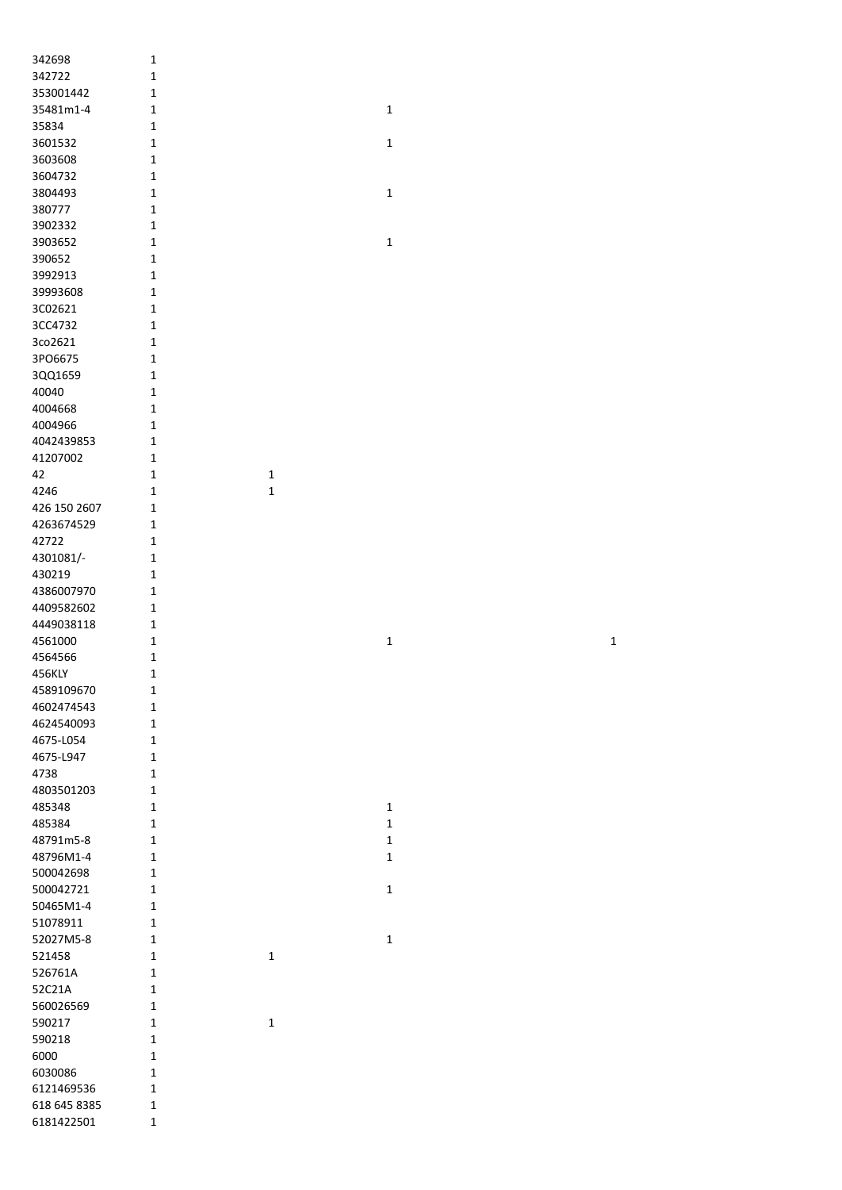| 342698       | 1           |                  |              |
|--------------|-------------|------------------|--------------|
| 342722       | 1           |                  |              |
|              |             |                  |              |
| 353001442    | 1           |                  |              |
| 35481m1-4    | 1           |                  | $\mathbf{1}$ |
| 35834        | $\mathbf 1$ |                  |              |
| 3601532      | $\mathbf 1$ |                  | $\mathbf{1}$ |
| 3603608      | 1           |                  |              |
| 3604732      | 1           |                  |              |
| 3804493      | $\mathbf 1$ |                  | $\mathbf{1}$ |
| 380777       | $\mathbf 1$ |                  |              |
| 3902332      | $\mathbf 1$ |                  |              |
| 3903652      | 1           |                  | $\mathbf{1}$ |
| 390652       | 1           |                  |              |
| 3992913      | 1           |                  |              |
| 39993608     | $\mathbf 1$ |                  |              |
| 3C02621      | $\mathbf 1$ |                  |              |
| 3CC4732      | $\mathbf 1$ |                  |              |
| 3co2621      | 1           |                  |              |
| 3PO6675      | 1           |                  |              |
| 3QQ1659      | 1           |                  |              |
| 40040        | $\mathbf 1$ |                  |              |
| 4004668      | $\mathbf 1$ |                  |              |
| 4004966      | $\mathbf 1$ |                  |              |
| 4042439853   | $\mathbf 1$ |                  |              |
| 41207002     | $\mathbf 1$ |                  |              |
| 42           |             |                  |              |
| 4246         | 1           | 1<br>$\mathbf 1$ |              |
|              | 1           |                  |              |
| 426 150 2607 | 1           |                  |              |
| 4263674529   | $\mathbf 1$ |                  |              |
| 42722        | 1           |                  |              |
| 4301081/-    | 1           |                  |              |
| 430219       | 1           |                  |              |
| 4386007970   | 1           |                  |              |
| 4409582602   | 1           |                  |              |
| 4449038118   | $\mathbf 1$ |                  |              |
| 4561000      | 1           |                  | $\mathbf{1}$ |
| 4564566      | $\mathbf 1$ |                  |              |
| 456KLY       | 1           |                  |              |
| 4589109670   | $\mathbf 1$ |                  |              |
| 4602474543   | 1           |                  |              |
| 4624540093   | $\mathbf 1$ |                  |              |
| 4675-L054    | 1           |                  |              |
| 4675-L947    | 1           |                  |              |
| 4738         | 1           |                  |              |
| 4803501203   | 1           |                  |              |
| 485348       | 1           |                  | 1            |
| 485384       | $\mathbf 1$ |                  | $\mathbf{1}$ |
| 48791m5-8    | $\mathbf 1$ |                  | $\mathbf{1}$ |
| 48796M1-4    | 1           |                  | $\mathbf{1}$ |
| 500042698    | 1           |                  |              |
| 500042721    | 1           |                  | $\mathbf 1$  |
| 50465M1-4    | 1           |                  |              |
| 51078911     | $\mathbf 1$ |                  |              |
| 52027M5-8    | 1           |                  | $\mathbf{1}$ |
| 521458       | 1           | 1                |              |
| 526761A      | 1           |                  |              |
| 52C21A       | 1           |                  |              |
| 560026569    | 1           |                  |              |
| 590217       | $\mathbf 1$ | $\mathbf{1}$     |              |
| 590218       | 1           |                  |              |
| 6000         | 1           |                  |              |
| 6030086      | 1           |                  |              |
| 6121469536   | $\mathbf 1$ |                  |              |
| 618 645 8385 | $\mathbf 1$ |                  |              |
| 6181422501   | $\mathbf 1$ |                  |              |
|              |             |                  |              |

1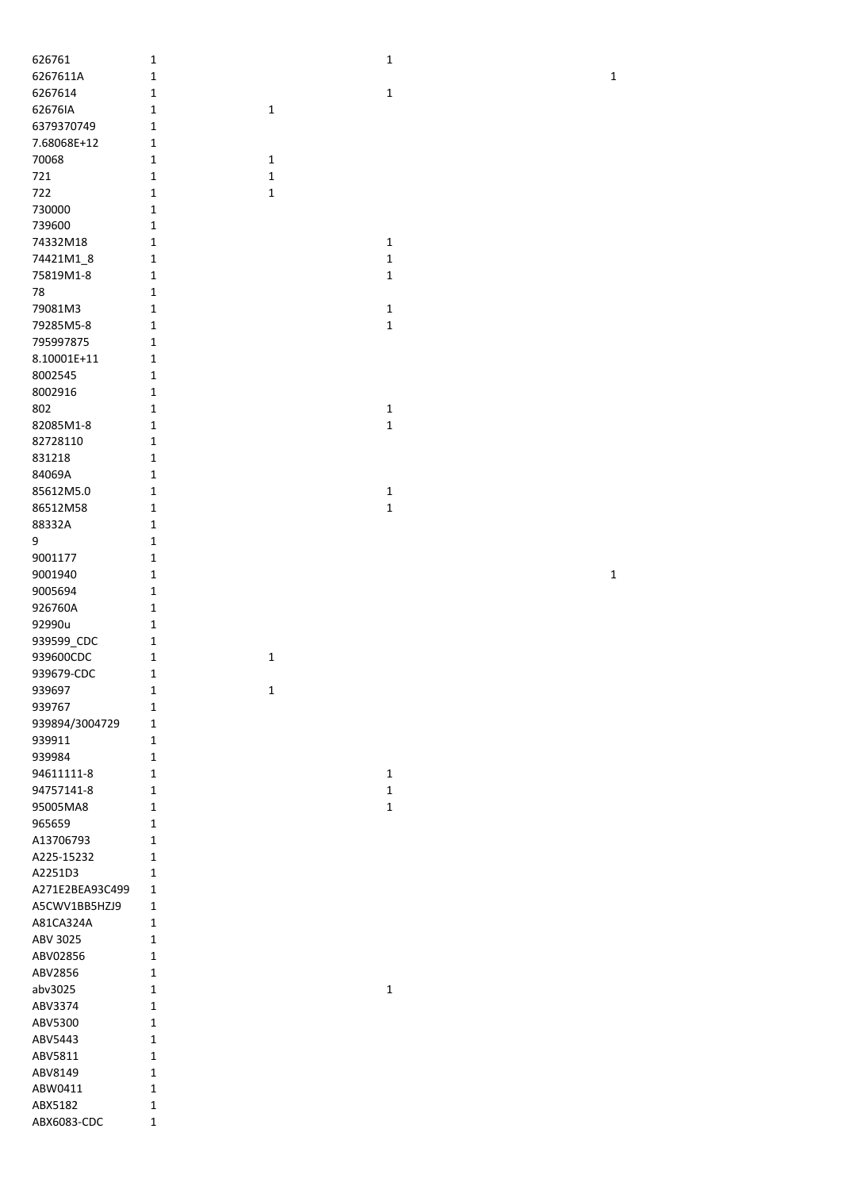| 626761                 | $\mathbf 1$                |              | $\mathbf 1$  |              |
|------------------------|----------------------------|--------------|--------------|--------------|
| 6267611A               | $\mathbf 1$                |              |              | $\mathbf{1}$ |
| 6267614                | $\mathbf 1$                |              | $\mathbf 1$  |              |
| 62676IA                | $\mathbf 1$                | $\mathbf 1$  |              |              |
| 6379370749             | $\mathbf 1$                |              |              |              |
| 7.68068E+12            | $\mathbf 1$                |              |              |              |
| 70068                  | $\mathbf 1$                | $\mathbf 1$  |              |              |
| 721                    | $\mathbf 1$                | $\mathbf{1}$ |              |              |
| 722                    | $\mathbf 1$                | $\mathbf{1}$ |              |              |
| 730000                 | $\mathbf{1}$               |              |              |              |
| 739600                 | $\mathbf 1$                |              |              |              |
| 74332M18               | $\mathbf{1}$               |              | $\mathbf 1$  |              |
| 74421M1_8              | $\mathbf{1}$               |              | $\mathbf 1$  |              |
| 75819M1-8              | $\mathbf 1$                |              | $\mathbf 1$  |              |
| 78                     |                            |              |              |              |
|                        | $\mathbf 1$                |              |              |              |
| 79081M3                | $\mathbf 1$                |              | $\mathbf{1}$ |              |
| 79285M5-8              | $\mathbf 1$                |              | $\mathbf 1$  |              |
| 795997875              | $\mathbf 1$                |              |              |              |
| $8.10001E+11$          | $\mathbf 1$                |              |              |              |
| 8002545                | $\mathbf 1$                |              |              |              |
| 8002916                | $\mathbf 1$                |              |              |              |
| 802                    | $\mathbf 1$                |              | $\mathbf 1$  |              |
| 82085M1-8              | $\mathbf 1$                |              | $\mathbf 1$  |              |
| 82728110               | $\mathbf 1$                |              |              |              |
| 831218                 | $\mathbf 1$                |              |              |              |
| 84069A                 | $\mathbf 1$                |              |              |              |
| 85612M5.0              | $\mathbf 1$                |              | $\mathbf 1$  |              |
| 86512M58               | $\mathbf 1$                |              | $\mathbf 1$  |              |
| 88332A                 | $\mathbf 1$                |              |              |              |
| 9                      | $\mathbf 1$                |              |              |              |
| 9001177                | 1                          |              |              |              |
| 9001940                | 1                          |              |              | $\mathbf 1$  |
| 9005694                | $\mathbf 1$                |              |              |              |
| 926760A                | $\mathbf 1$                |              |              |              |
| 92990u                 | $\mathbf 1$                |              |              |              |
| 939599_CDC             | $\mathbf 1$                |              |              |              |
| 939600CDC              | $\mathbf{1}$               | $\mathbf 1$  |              |              |
| 939679-CDC             | $\mathbf{1}$               |              |              |              |
| 939697                 |                            |              |              |              |
|                        | 1                          | 1            |              |              |
| 939767                 | $\mathbf 1$                |              |              |              |
| 939894/3004729         | $\mathbf 1$                |              |              |              |
| 939911                 | $\mathbf{1}$               |              |              |              |
| 939984                 | $\mathbf{1}$               |              |              |              |
| 94611111-8             | $\mathbf 1$                |              | $\mathbf 1$  |              |
| 94757141-8             | $\mathbf 1$                |              | $\mathbf 1$  |              |
| 95005MA8               | $\mathbf 1$                |              | $\mathbf 1$  |              |
| 965659                 | $\mathbf 1$                |              |              |              |
| A13706793              | $\mathbf{1}$               |              |              |              |
| A225-15232             | $\mathbf{1}$               |              |              |              |
| A2251D3                | $\mathbf{1}$               |              |              |              |
| A271E2BEA93C499        |                            |              |              |              |
|                        | $\mathbf 1$                |              |              |              |
| A5CWV1BB5HZJ9          | $\mathbf{1}$               |              |              |              |
| A81CA324A              | $\mathbf 1$                |              |              |              |
| ABV 3025               | $\mathbf{1}$               |              |              |              |
| ABV02856               | $\mathbf{1}$               |              |              |              |
| ABV2856                | $\mathbf{1}$               |              |              |              |
| abv3025                | $\mathbf{1}$               |              | $\mathbf 1$  |              |
| ABV3374                | $\mathbf{1}$               |              |              |              |
|                        |                            |              |              |              |
| ABV5300                | $\mathbf 1$                |              |              |              |
| ABV5443                | $\mathbf 1$                |              |              |              |
| ABV5811                | $\mathbf 1$                |              |              |              |
| ABV8149                | $\mathbf 1$                |              |              |              |
| ABW0411                | $\mathbf 1$                |              |              |              |
| ABX5182<br>ABX6083-CDC | $\mathbf 1$<br>$\mathbf 1$ |              |              |              |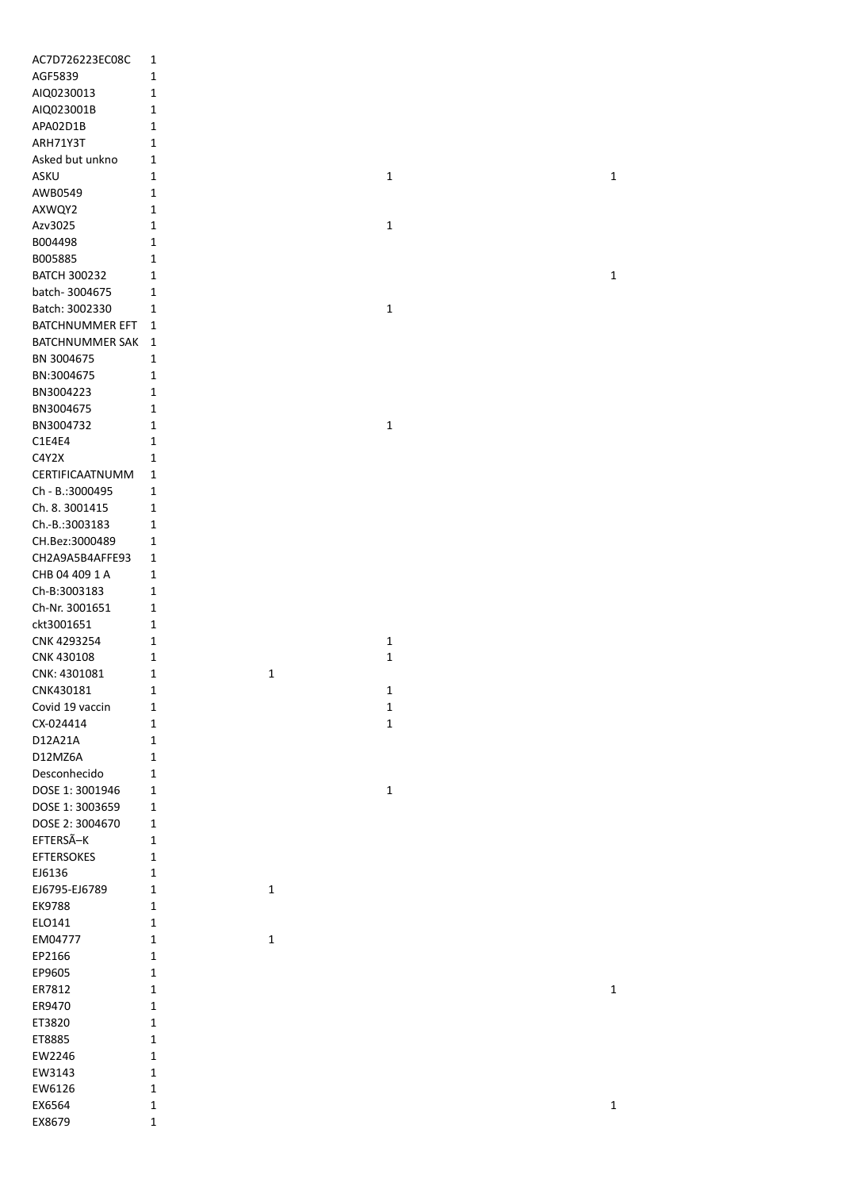| AC7D726223EC08C        | 1            |              |              |             |
|------------------------|--------------|--------------|--------------|-------------|
| AGF5839                | $\mathbf{1}$ |              |              |             |
| AIQ0230013             | 1            |              |              |             |
| AIQ023001B             | $\mathbf{1}$ |              |              |             |
| APA02D1B               | $\mathbf{1}$ |              |              |             |
| ARH71Y3T               | 1            |              |              |             |
| Asked but unkno        | 1            |              |              |             |
|                        |              |              |              |             |
| ASKU                   | 1            |              | 1            | $\mathbf 1$ |
| AWB0549                | 1            |              |              |             |
| AXWQY2                 | $\mathbf{1}$ |              |              |             |
| Azv3025                | 1            |              | $\mathbf 1$  |             |
| B004498                | 1            |              |              |             |
| B005885                | 1            |              |              |             |
| <b>BATCH 300232</b>    | 1            |              |              | $\mathbf 1$ |
| batch-3004675          | $\mathbf 1$  |              |              |             |
| Batch: 3002330         | $\mathbf 1$  |              | $\mathbf 1$  |             |
| BATCHNUMMER EFT        | $\mathbf{1}$ |              |              |             |
| <b>BATCHNUMMER SAK</b> | 1            |              |              |             |
|                        |              |              |              |             |
| BN 3004675             | 1            |              |              |             |
| BN:3004675             | 1            |              |              |             |
| BN3004223              | 1            |              |              |             |
| BN3004675              | 1            |              |              |             |
| BN3004732              | 1            |              | $\mathbf 1$  |             |
| C1E4E4                 | 1            |              |              |             |
| C4Y2X                  | 1            |              |              |             |
| CERTIFICAATNUMM        | 1            |              |              |             |
| Ch - B.:3000495        | 1            |              |              |             |
| Ch. 8. 3001415         | 1            |              |              |             |
| Ch.-B.:3003183         | 1            |              |              |             |
| CH.Bez:3000489         | 1            |              |              |             |
|                        |              |              |              |             |
| CH2A9A5B4AFFE93        | 1            |              |              |             |
| CHB 04 409 1 A         | 1            |              |              |             |
| Ch-B:3003183           | 1            |              |              |             |
| Ch-Nr. 3001651         | 1            |              |              |             |
| ckt3001651             | 1            |              |              |             |
| CNK 4293254            | 1            |              | $\mathbf 1$  |             |
| CNK 430108             | 1            |              | $\mathbf{1}$ |             |
| CNK: 4301081           | 1            | $\mathbf{1}$ |              |             |
| CNK430181              | 1            |              | $\mathbf 1$  |             |
| Covid 19 vaccin        | 1            |              | $\mathbf 1$  |             |
| CX-024414              | $\mathbf 1$  |              | $\mathbf 1$  |             |
|                        |              |              |              |             |
| D12A21A                | $\mathbf{1}$ |              |              |             |
| D12MZ6A                | 1            |              |              |             |
| Desconhecido           | $1\,$        |              |              |             |
| DOSE 1: 3001946        | $\mathbf{1}$ |              | $\mathbf 1$  |             |
| DOSE 1: 3003659        | $\mathbf{1}$ |              |              |             |
| DOSE 2: 3004670        | $\mathbf{1}$ |              |              |             |
| EFTERSÃ-K              | $\mathbf{1}$ |              |              |             |
| <b>EFTERSOKES</b>      | $\mathbf{1}$ |              |              |             |
| EJ6136                 | 1            |              |              |             |
| EJ6795-EJ6789          | $\mathbf{1}$ | $\mathbf 1$  |              |             |
| EK9788                 | $\mathbf{1}$ |              |              |             |
|                        |              |              |              |             |
| ELO141                 | $\mathbf{1}$ |              |              |             |
| EM04777                | $\mathbf{1}$ | $\mathbf{1}$ |              |             |
| EP2166                 | 1            |              |              |             |
| EP9605                 | $\mathbf{1}$ |              |              |             |
| ER7812                 | $\mathbf 1$  |              |              | $\mathbf 1$ |
| ER9470                 | 1            |              |              |             |
| ET3820                 | $\mathbf 1$  |              |              |             |
| ET8885                 | 1            |              |              |             |
| EW2246                 | 1            |              |              |             |
| EW3143                 | $\mathbf 1$  |              |              |             |
| EW6126                 | $\mathbf 1$  |              |              |             |
|                        |              |              |              |             |
| EX6564                 | $\mathbf 1$  |              |              | $\mathbf 1$ |
| EX8679                 | $\mathbf 1$  |              |              |             |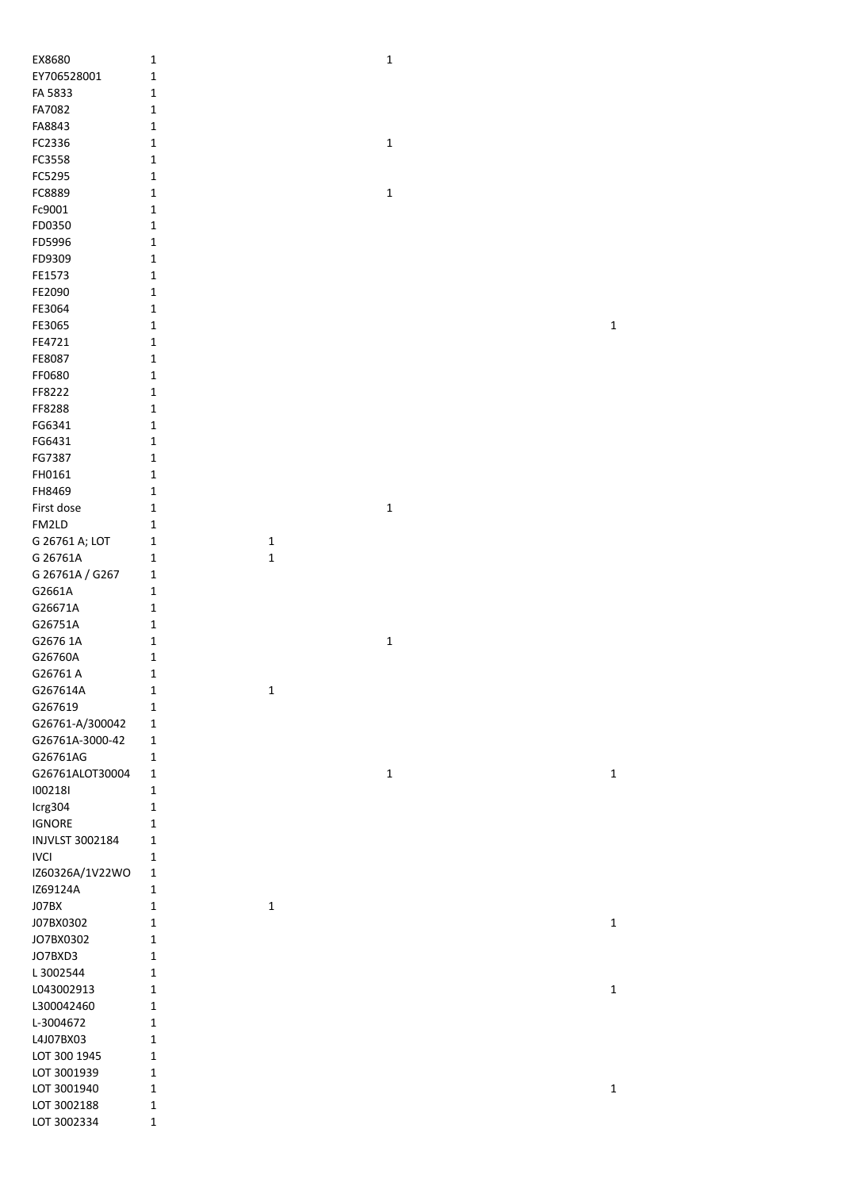| EX8680                 | $\mathbf 1$  |              | $\mathbf 1$ |             |
|------------------------|--------------|--------------|-------------|-------------|
| EY706528001            | $\mathbf 1$  |              |             |             |
| FA 5833                | $\mathbf 1$  |              |             |             |
| FA7082                 | $\mathbf 1$  |              |             |             |
| FA8843                 | $\mathbf 1$  |              |             |             |
| FC2336                 | $\mathbf 1$  |              | $\mathbf 1$ |             |
| FC3558                 | $\mathbf 1$  |              |             |             |
| FC5295                 | $\mathbf 1$  |              |             |             |
| FC8889                 | $\mathbf 1$  |              | $\mathbf 1$ |             |
|                        |              |              |             |             |
| Fc9001                 | $\mathbf 1$  |              |             |             |
| FD0350                 | $\mathbf 1$  |              |             |             |
| FD5996                 | $\mathbf 1$  |              |             |             |
| FD9309                 | $\mathbf 1$  |              |             |             |
| FE1573                 | 1            |              |             |             |
| FE2090                 | 1            |              |             |             |
| FE3064                 | 1            |              |             |             |
| FE3065                 | $\mathbf 1$  |              |             | $\mathbf 1$ |
| FE4721                 | $\mathbf{1}$ |              |             |             |
| FE8087                 | $\mathbf{1}$ |              |             |             |
| FF0680                 | 1            |              |             |             |
| FF8222                 | $\mathbf{1}$ |              |             |             |
| FF8288                 | 1            |              |             |             |
| FG6341                 | $\mathbf 1$  |              |             |             |
| FG6431                 | $\mathbf 1$  |              |             |             |
| FG7387                 | $\mathbf 1$  |              |             |             |
| FH0161                 | $\mathbf 1$  |              |             |             |
|                        |              |              |             |             |
| FH8469                 | $\mathbf 1$  |              |             |             |
| First dose             | $\mathbf 1$  |              | $\mathbf 1$ |             |
| FM2LD                  | $\mathbf 1$  |              |             |             |
| G 26761 A; LOT         | $\mathbf 1$  | $\mathbf{1}$ |             |             |
| G 26761A               | $\mathbf 1$  | $\mathbf 1$  |             |             |
| G 26761A / G267        | $\mathbf{1}$ |              |             |             |
| G2661A                 | $1\,$        |              |             |             |
| G26671A                | $\mathbf{1}$ |              |             |             |
| G26751A                | $\mathbf 1$  |              |             |             |
| G2676 1A               | $\mathbf 1$  |              | $\mathbf 1$ |             |
| G26760A                | $\mathbf{1}$ |              |             |             |
| G26761 A               | $\mathbf{1}$ |              |             |             |
| G267614A               | $\mathbf 1$  | $\mathbf 1$  |             |             |
| G267619                | 1            |              |             |             |
| G26761-A/300042        | $\mathbf{1}$ |              |             |             |
| G26761A-3000-42        | $\mathbf 1$  |              |             |             |
|                        |              |              |             |             |
| G26761AG               | 1            |              |             |             |
| G26761ALOT30004        | $\mathbf{1}$ |              | $\mathbf 1$ | $\mathbf 1$ |
| 1002181                | $\mathbf{1}$ |              |             |             |
| Icrg304                | $\mathbf{1}$ |              |             |             |
| <b>IGNORE</b>          | $\mathbf 1$  |              |             |             |
| <b>INJVLST 3002184</b> | $\mathbf 1$  |              |             |             |
| <b>IVCI</b>            | $\mathbf 1$  |              |             |             |
| IZ60326A/1V22WO        | $\mathbf{1}$ |              |             |             |
| IZ69124A               | $\mathbf 1$  |              |             |             |
| J07BX                  | $\mathbf 1$  | $\mathbf 1$  |             |             |
| J07BX0302              | $\mathbf 1$  |              |             | $\mathbf 1$ |
| JO7BX0302              | $\mathbf 1$  |              |             |             |
| JO7BXD3                | $\mathbf 1$  |              |             |             |
| L 3002544              | $1\,$        |              |             |             |
| L043002913             | $1\,$        |              |             | $\mathbf 1$ |
| L300042460             | 1            |              |             |             |
| L-3004672              | $\mathbf{1}$ |              |             |             |
| L4J07BX03              | $\mathbf 1$  |              |             |             |
|                        |              |              |             |             |
| LOT 300 1945           | $\mathbf 1$  |              |             |             |
| LOT 3001939            | $\mathbf 1$  |              |             |             |
| LOT 3001940            | $\mathbf 1$  |              |             | $\mathbf 1$ |
| LOT 3002188            | $\mathbf 1$  |              |             |             |
| LOT 3002334            | $\mathbf 1$  |              |             |             |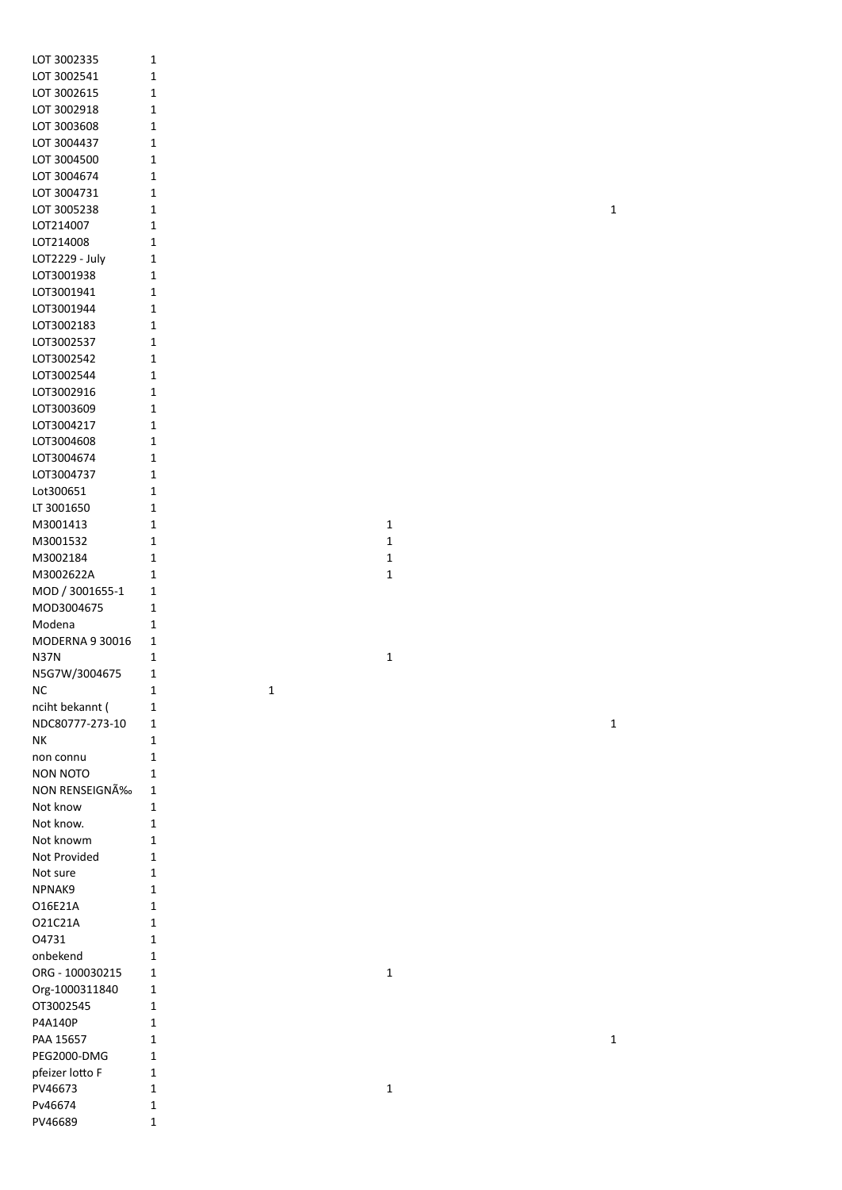| LOT 3002335     | $\mathbf 1$ |   |              |             |
|-----------------|-------------|---|--------------|-------------|
| LOT 3002541     | 1           |   |              |             |
| LOT 3002615     | 1           |   |              |             |
| LOT 3002918     | 1           |   |              |             |
| LOT 3003608     | 1           |   |              |             |
| LOT 3004437     | 1           |   |              |             |
| LOT 3004500     | 1           |   |              |             |
| LOT 3004674     | 1           |   |              |             |
| LOT 3004731     |             |   |              |             |
|                 | 1           |   |              |             |
| LOT 3005238     | 1           |   |              | $\mathbf 1$ |
| LOT214007       | 1           |   |              |             |
| LOT214008       | 1           |   |              |             |
| LOT2229 - July  | 1           |   |              |             |
| LOT3001938      | 1           |   |              |             |
| LOT3001941      | 1           |   |              |             |
| LOT3001944      | 1           |   |              |             |
| LOT3002183      | 1           |   |              |             |
| LOT3002537      | $\mathbf 1$ |   |              |             |
| LOT3002542      | 1           |   |              |             |
| LOT3002544      | $\mathbf 1$ |   |              |             |
| LOT3002916      | $\mathbf 1$ |   |              |             |
| LOT3003609      | 1           |   |              |             |
| LOT3004217      | 1           |   |              |             |
| LOT3004608      | 1           |   |              |             |
| LOT3004674      | $\mathbf 1$ |   |              |             |
| LOT3004737      | 1           |   |              |             |
| Lot300651       | $\mathbf 1$ |   |              |             |
| LT 3001650      | 1           |   |              |             |
| M3001413        | 1           |   | 1            |             |
| M3001532        | 1           |   | $\mathbf{1}$ |             |
| M3002184        | 1           |   | 1            |             |
| M3002622A       | 1           |   | 1            |             |
| MOD / 3001655-1 | 1           |   |              |             |
| MOD3004675      | 1           |   |              |             |
| Modena          | 1           |   |              |             |
| MODERNA 9 30016 | 1           |   |              |             |
| <b>N37N</b>     | 1           |   | $\mathbf{1}$ |             |
| N5G7W/3004675   | 1           |   |              |             |
| <b>NC</b>       | 1           | 1 |              |             |
| nciht bekannt ( | 1           |   |              |             |
| NDC80777-273-10 | 1           |   |              | $\mathbf 1$ |
| NΚ              | 1           |   |              |             |
| non connu       | 1           |   |              |             |
| <b>NON NOTO</b> | 1           |   |              |             |
| NON RENSEIGNÉ   | 1           |   |              |             |
| Not know        | 1           |   |              |             |
| Not know.       | 1           |   |              |             |
| Not knowm       | 1           |   |              |             |
| Not Provided    | 1           |   |              |             |
| Not sure        | 1           |   |              |             |
| NPNAK9          | 1           |   |              |             |
| 016E21A         | 1           |   |              |             |
| 021C21A         | 1           |   |              |             |
| 04731           | 1           |   |              |             |
| onbekend        | 1           |   |              |             |
| ORG - 100030215 | 1           |   | $\mathbf 1$  |             |
| Org-1000311840  | 1           |   |              |             |
| OT3002545       | 1           |   |              |             |
| P4A140P         | 1           |   |              |             |
| PAA 15657       | 1           |   |              | $\mathbf 1$ |
| PEG2000-DMG     | 1           |   |              |             |
| pfeizer lotto F | 1           |   |              |             |
| PV46673         | 1           |   | $\mathbf 1$  |             |
|                 |             |   |              |             |
| Pv46674         | 1           |   |              |             |